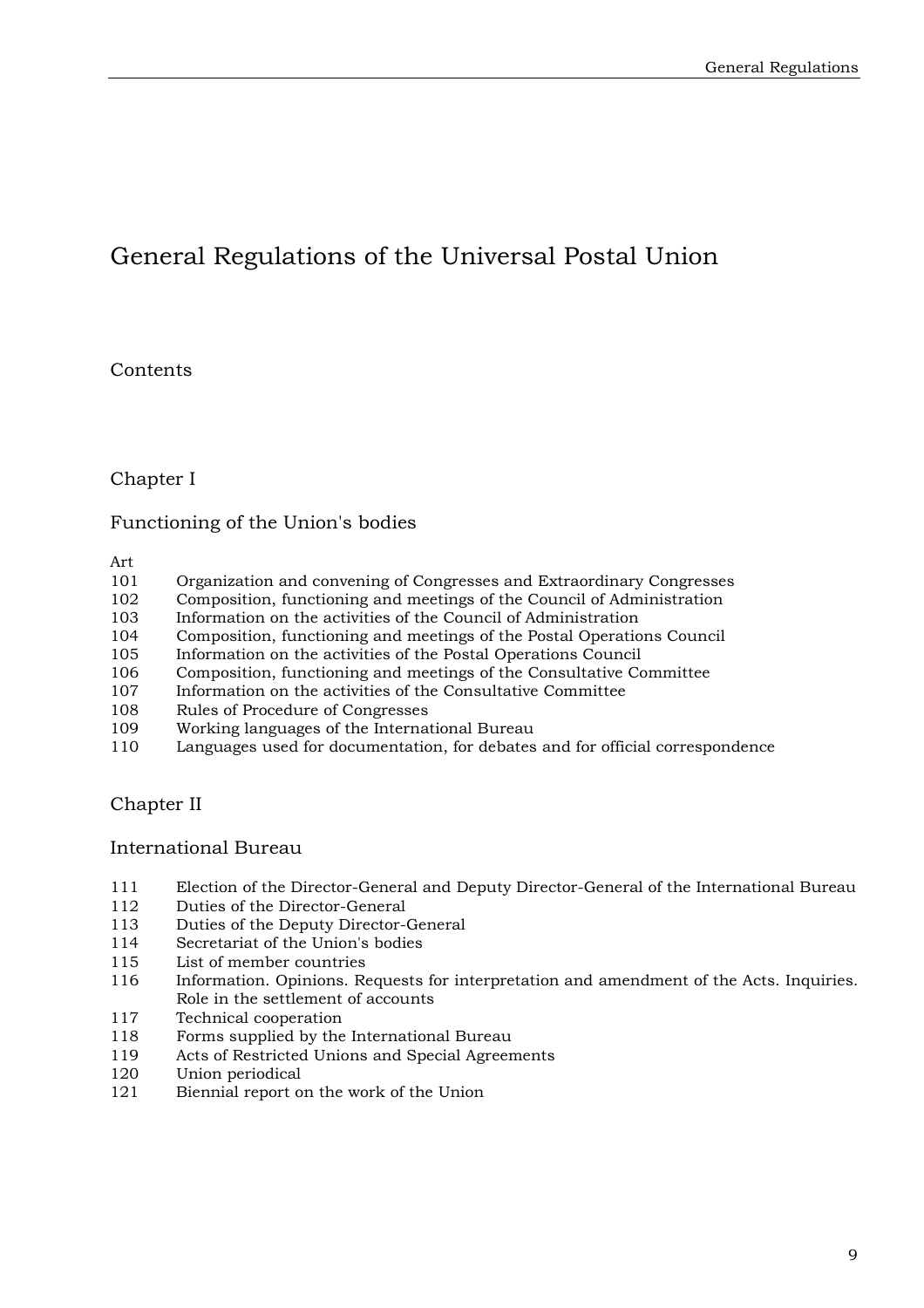# General Regulations of the Universal Postal Union

# **Contents**

# Chapter I

# Functioning of the Union's bodies

Art

- 101 Organization and convening of Congresses and Extraordinary Congresses
- 102 Composition, functioning and meetings of the Council of Administration
- 103 Information on the activities of the Council of Administration
- 104 Composition, functioning and meetings of the Postal Operations Council
- 105 Information on the activities of the Postal Operations Council
- 106 Composition, functioning and meetings of the Consultative Committee
- 107 Information on the activities of the Consultative Committee
- 108 Rules of Procedure of Congresses
- 109 Working languages of the International Bureau
- 110 Languages used for documentation, for debates and for official correspondence

# Chapter II

### International Bureau

- 111 Election of the Director-General and Deputy Director-General of the International Bureau
- 112 Duties of the Director-General
- 113 Duties of the Deputy Director-General
- 114 Secretariat of the Union's bodies<br>115 List of member countries
- List of member countries
- 116 Information. Opinions. Requests for interpretation and amendment of the Acts. Inquiries. Role in the settlement of accounts
- 117 Technical cooperation
- 118 Forms supplied by the International Bureau
- 119 Acts of Restricted Unions and Special Agreements
- 120 Union periodical
- 121 Biennial report on the work of the Union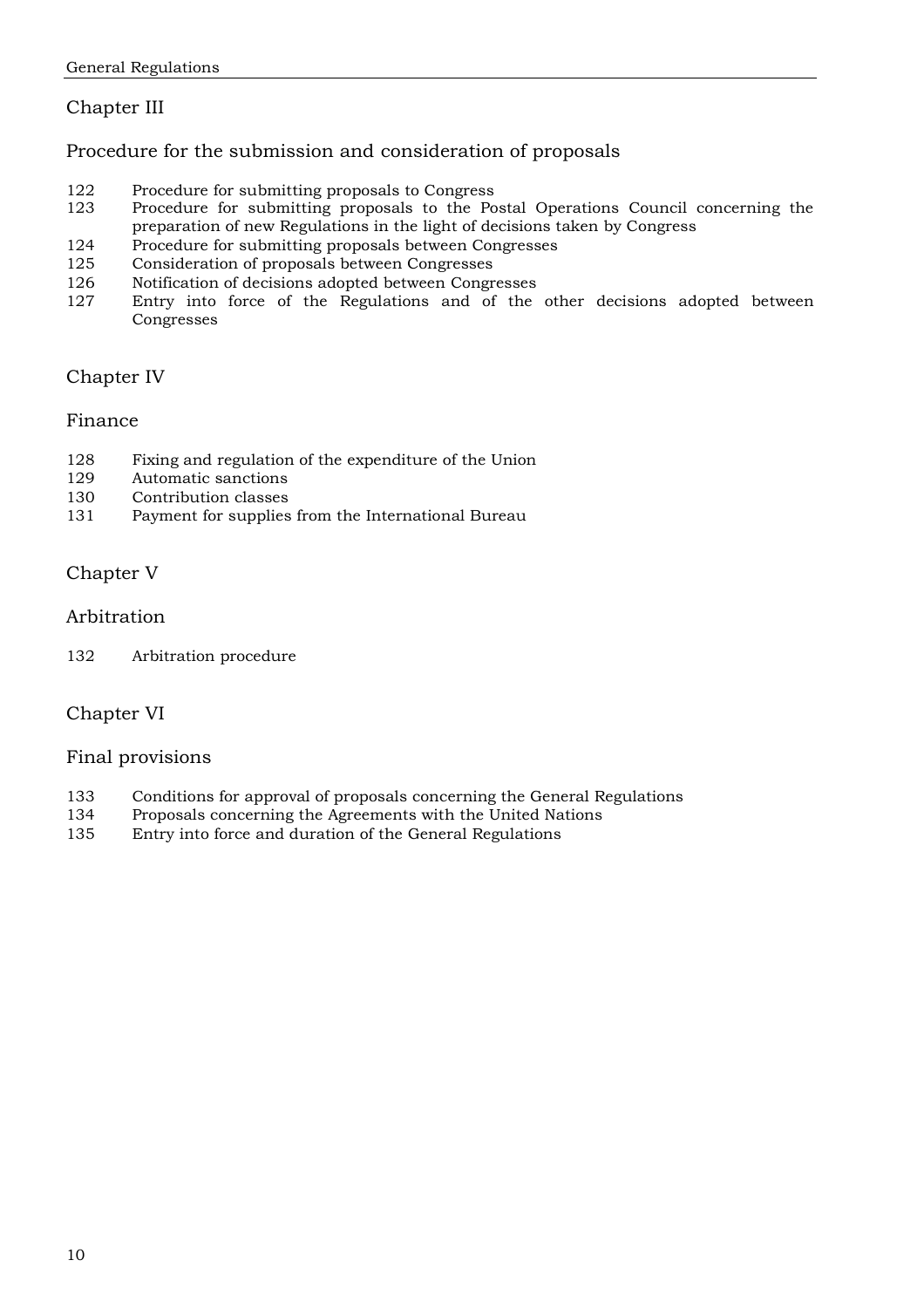# Chapter III

### Procedure for the submission and consideration of proposals

- 122 Procedure for submitting proposals to Congress<br>123 Procedure for submitting proposals to the Po
- Procedure for submitting proposals to the Postal Operations Council concerning the preparation of new Regulations in the light of decisions taken by Congress
- 124 Procedure for submitting proposals between Congresses
- 125 Consideration of proposals between Congresses
- 126 Notification of decisions adopted between Congresses
- 127 Entry into force of the Regulations and of the other decisions adopted between Congresses

### Chapter IV

### Finance

- 128 Fixing and regulation of the expenditure of the Union
- 129 Automatic sanctions
- 130 Contribution classes
- 131 Payment for supplies from the International Bureau

### Chapter V

### Arbitration

132 Arbitration procedure

# Chapter VI

### Final provisions

- 133 Conditions for approval of proposals concerning the General Regulations
- 134 Proposals concerning the Agreements with the United Nations
- 135 Entry into force and duration of the General Regulations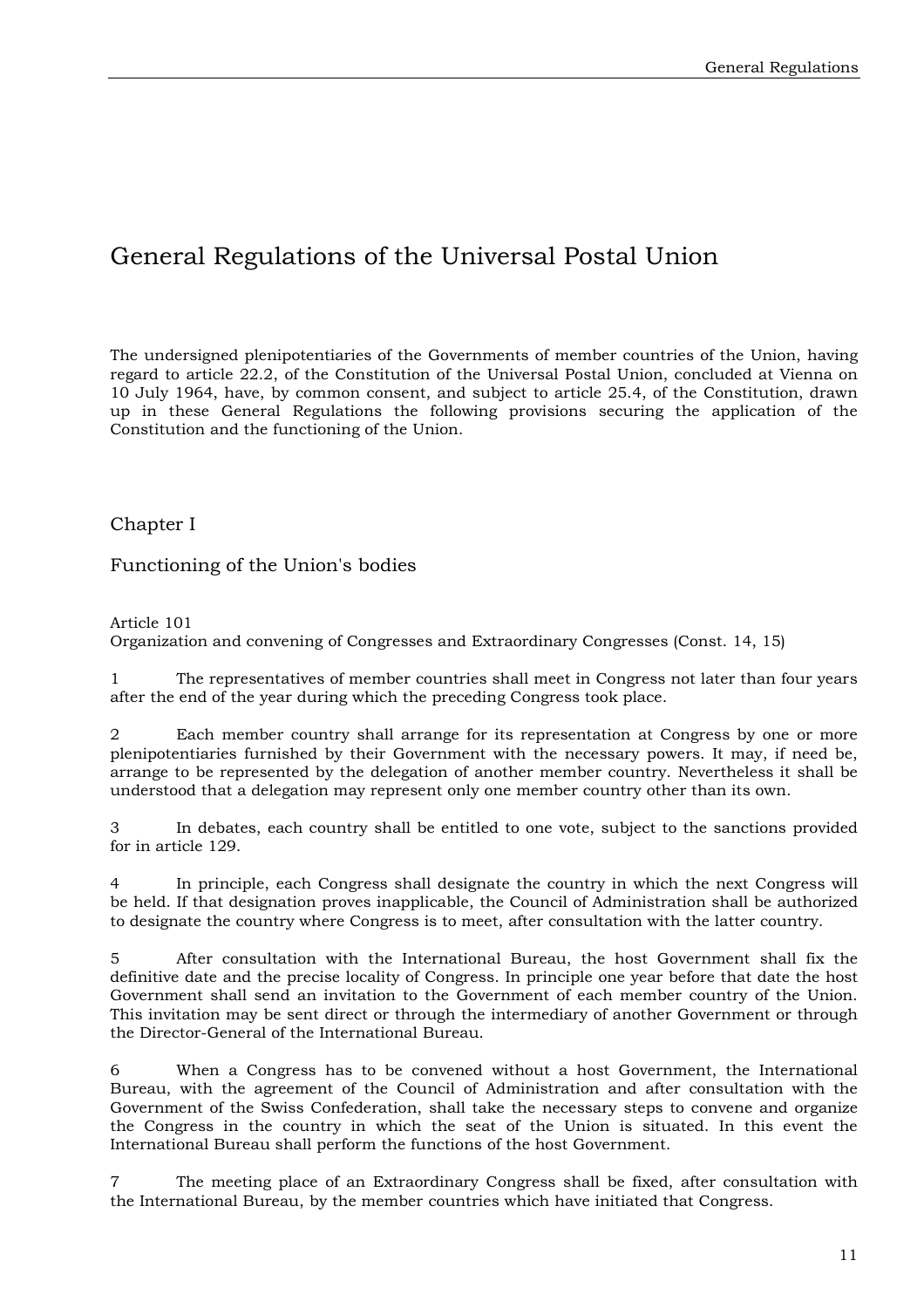# General Regulations of the Universal Postal Union

The undersigned plenipotentiaries of the Governments of member countries of the Union, having regard to article 22.2, of the Constitution of the Universal Postal Union, concluded at Vienna on 10 July 1964, have, by common consent, and subject to article 25.4, of the Constitution, drawn up in these General Regulations the following provisions securing the application of the Constitution and the functioning of the Union.

### Chapter I

Functioning of the Union's bodies

Article 101

Organization and convening of Congresses and Extraordinary Congresses (Const. 14, 15)

1 The representatives of member countries shall meet in Congress not later than four years after the end of the year during which the preceding Congress took place.

2 Each member country shall arrange for its representation at Congress by one or more plenipotentiaries furnished by their Government with the necessary powers. It may, if need be, arrange to be represented by the delegation of another member country. Nevertheless it shall be understood that a delegation may represent only one member country other than its own.

3 In debates, each country shall be entitled to one vote, subject to the sanctions provided for in article 129.

4 In principle, each Congress shall designate the country in which the next Congress will be held. If that designation proves inapplicable, the Council of Administration shall be authorized to designate the country where Congress is to meet, after consultation with the latter country.

5 After consultation with the International Bureau, the host Government shall fix the definitive date and the precise locality of Congress. In principle one year before that date the host Government shall send an invitation to the Government of each member country of the Union. This invitation may be sent direct or through the intermediary of another Government or through the Director-General of the International Bureau.

6 When a Congress has to be convened without a host Government, the International Bureau, with the agreement of the Council of Administration and after consultation with the Government of the Swiss Confederation, shall take the necessary steps to convene and organize the Congress in the country in which the seat of the Union is situated. In this event the International Bureau shall perform the functions of the host Government.

7 The meeting place of an Extraordinary Congress shall be fixed, after consultation with the International Bureau, by the member countries which have initiated that Congress.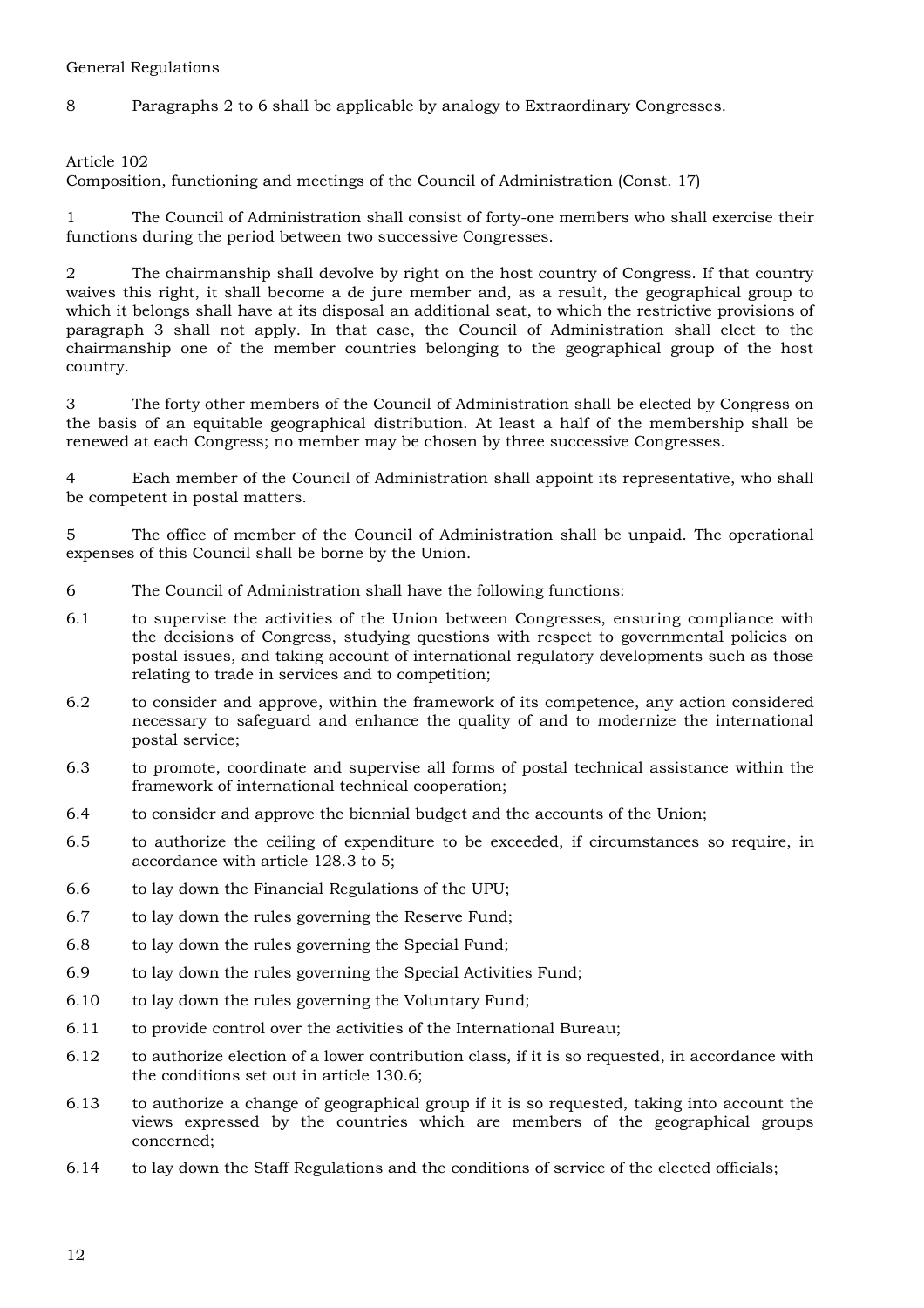8 Paragraphs 2 to 6 shall be applicable by analogy to Extraordinary Congresses.

Article 102

Composition, functioning and meetings of the Council of Administration (Const. 17)

1 The Council of Administration shall consist of forty-one members who shall exercise their functions during the period between two successive Congresses.

2 The chairmanship shall devolve by right on the host country of Congress. If that country waives this right, it shall become a de jure member and, as a result, the geographical group to which it belongs shall have at its disposal an additional seat, to which the restrictive provisions of paragraph 3 shall not apply. In that case, the Council of Administration shall elect to the chairmanship one of the member countries belonging to the geographical group of the host country.

3 The forty other members of the Council of Administration shall be elected by Congress on the basis of an equitable geographical distribution. At least a half of the membership shall be renewed at each Congress; no member may be chosen by three successive Congresses.

4 Each member of the Council of Administration shall appoint its representative, who shall be competent in postal matters.

5 The office of member of the Council of Administration shall be unpaid. The operational expenses of this Council shall be borne by the Union.

- 6 The Council of Administration shall have the following functions:
- 6.1 to supervise the activities of the Union between Congresses, ensuring compliance with the decisions of Congress, studying questions with respect to governmental policies on postal issues, and taking account of international regulatory developments such as those relating to trade in services and to competition;
- 6.2 to consider and approve, within the framework of its competence, any action considered necessary to safeguard and enhance the quality of and to modernize the international postal service;
- 6.3 to promote, coordinate and supervise all forms of postal technical assistance within the framework of international technical cooperation;
- 6.4 to consider and approve the biennial budget and the accounts of the Union;
- 6.5 to authorize the ceiling of expenditure to be exceeded, if circumstances so require, in accordance with article 128.3 to 5;
- 6.6 to lay down the Financial Regulations of the UPU;
- 6.7 to lay down the rules governing the Reserve Fund;
- 6.8 to lay down the rules governing the Special Fund;
- 6.9 to lay down the rules governing the Special Activities Fund;
- 6.10 to lay down the rules governing the Voluntary Fund;
- 6.11 to provide control over the activities of the International Bureau;
- 6.12 to authorize election of a lower contribution class, if it is so requested, in accordance with the conditions set out in article 130.6;
- 6.13 to authorize a change of geographical group if it is so requested, taking into account the views expressed by the countries which are members of the geographical groups concerned;
- 6.14 to lay down the Staff Regulations and the conditions of service of the elected officials;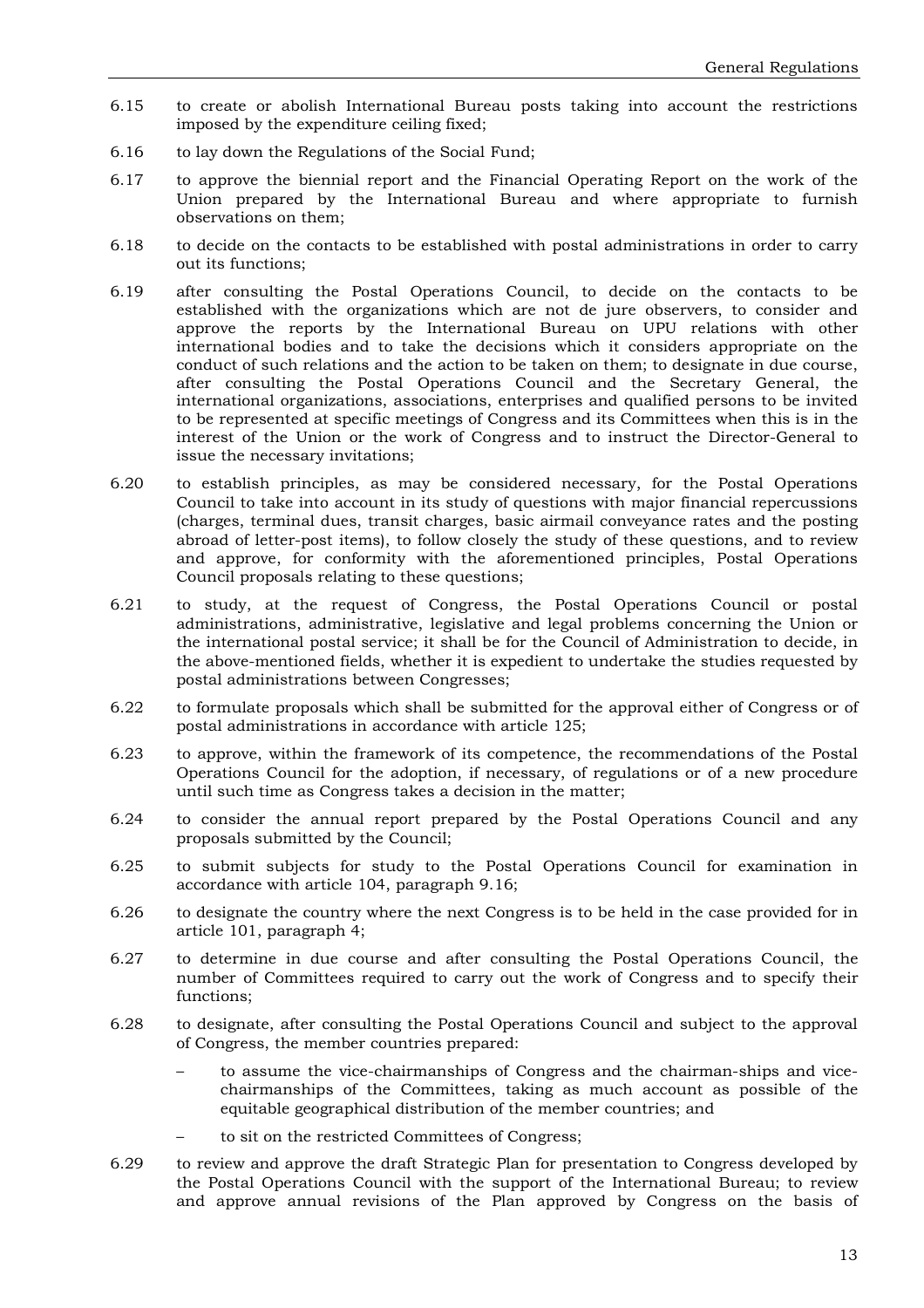- 6.15 to create or abolish International Bureau posts taking into account the restrictions imposed by the expenditure ceiling fixed;
- 6.16 to lay down the Regulations of the Social Fund;
- 6.17 to approve the biennial report and the Financial Operating Report on the work of the Union prepared by the International Bureau and where appropriate to furnish observations on them;
- 6.18 to decide on the contacts to be established with postal administrations in order to carry out its functions;
- 6.19 after consulting the Postal Operations Council, to decide on the contacts to be established with the organizations which are not de jure observers, to consider and approve the reports by the International Bureau on UPU relations with other international bodies and to take the decisions which it considers appropriate on the conduct of such relations and the action to be taken on them; to designate in due course, after consulting the Postal Operations Council and the Secretary General, the international organizations, associations, enterprises and qualified persons to be invited to be represented at specific meetings of Congress and its Committees when this is in the interest of the Union or the work of Congress and to instruct the Director-General to issue the necessary invitations;
- 6.20 to establish principles, as may be considered necessary, for the Postal Operations Council to take into account in its study of questions with major financial repercussions (charges, terminal dues, transit charges, basic airmail conveyance rates and the posting abroad of letter-post items), to follow closely the study of these questions, and to review and approve, for conformity with the aforementioned principles, Postal Operations Council proposals relating to these questions;
- 6.21 to study, at the request of Congress, the Postal Operations Council or postal administrations, administrative, legislative and legal problems concerning the Union or the international postal service; it shall be for the Council of Administration to decide, in the above-mentioned fields, whether it is expedient to undertake the studies requested by postal administrations between Congresses;
- 6.22 to formulate proposals which shall be submitted for the approval either of Congress or of postal administrations in accordance with article 125;
- 6.23 to approve, within the framework of its competence, the recommendations of the Postal Operations Council for the adoption, if necessary, of regulations or of a new procedure until such time as Congress takes a decision in the matter;
- 6.24 to consider the annual report prepared by the Postal Operations Council and any proposals submitted by the Council;
- 6.25 to submit subjects for study to the Postal Operations Council for examination in accordance with article 104, paragraph 9.16;
- 6.26 to designate the country where the next Congress is to be held in the case provided for in article 101, paragraph 4;
- 6.27 to determine in due course and after consulting the Postal Operations Council, the number of Committees required to carry out the work of Congress and to specify their functions;
- 6.28 to designate, after consulting the Postal Operations Council and subject to the approval of Congress, the member countries prepared:
	- to assume the vice-chairmanships of Congress and the chairman-ships and vicechairmanships of the Committees, taking as much account as possible of the equitable geographical distribution of the member countries; and
	- to sit on the restricted Committees of Congress;
- 6.29 to review and approve the draft Strategic Plan for presentation to Congress developed by the Postal Operations Council with the support of the International Bureau; to review and approve annual revisions of the Plan approved by Congress on the basis of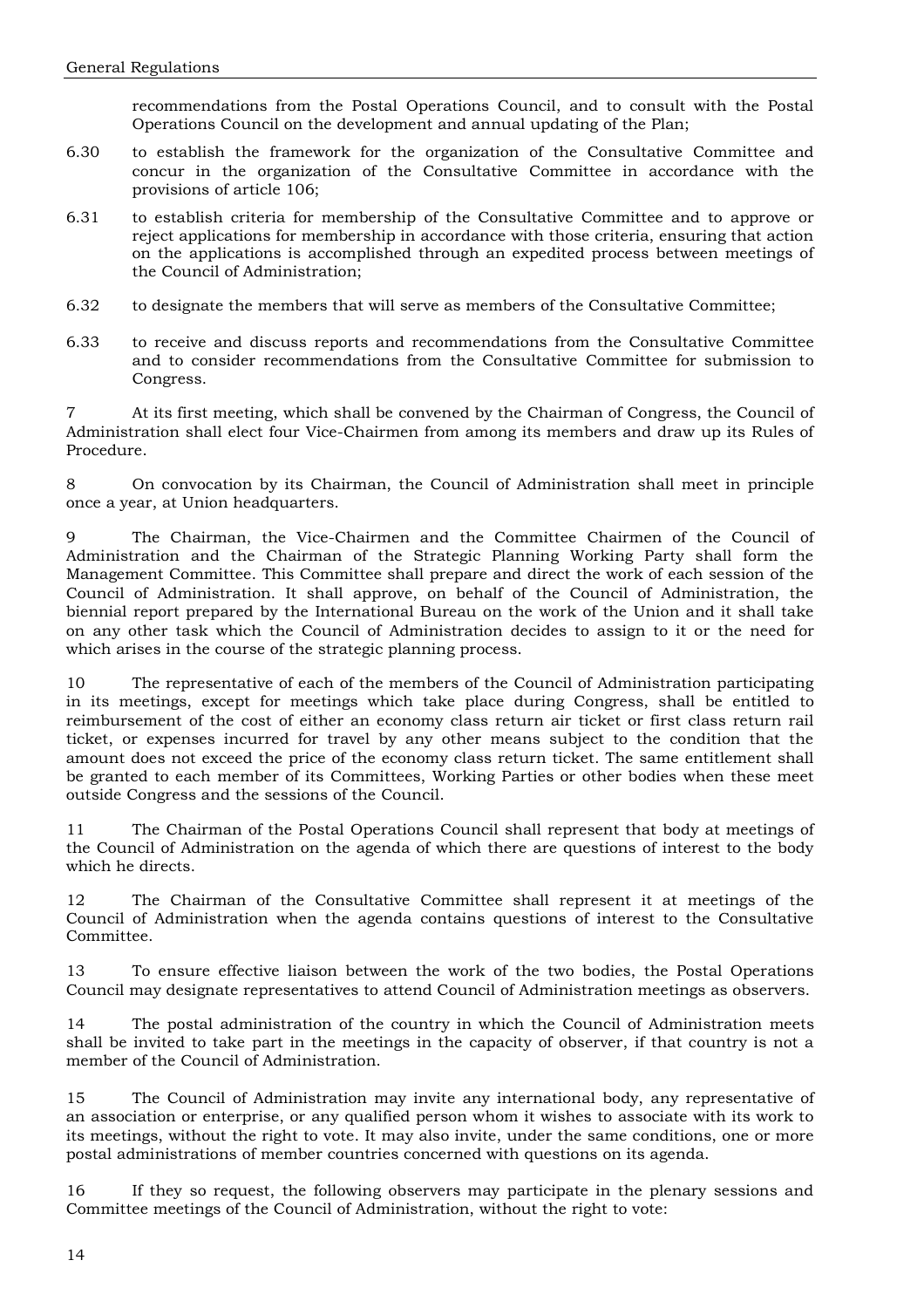recommendations from the Postal Operations Council, and to consult with the Postal Operations Council on the development and annual updating of the Plan;

- 6.30 to establish the framework for the organization of the Consultative Committee and concur in the organization of the Consultative Committee in accordance with the provisions of article 106;
- 6.31 to establish criteria for membership of the Consultative Committee and to approve or reject applications for membership in accordance with those criteria, ensuring that action on the applications is accomplished through an expedited process between meetings of the Council of Administration;
- 6.32 to designate the members that will serve as members of the Consultative Committee;
- 6.33 to receive and discuss reports and recommendations from the Consultative Committee and to consider recommendations from the Consultative Committee for submission to Congress.

7 At its first meeting, which shall be convened by the Chairman of Congress, the Council of Administration shall elect four Vice-Chairmen from among its members and draw up its Rules of Procedure.

8 On convocation by its Chairman, the Council of Administration shall meet in principle once a year, at Union headquarters.

9 The Chairman, the Vice-Chairmen and the Committee Chairmen of the Council of Administration and the Chairman of the Strategic Planning Working Party shall form the Management Committee. This Committee shall prepare and direct the work of each session of the Council of Administration. It shall approve, on behalf of the Council of Administration, the biennial report prepared by the International Bureau on the work of the Union and it shall take on any other task which the Council of Administration decides to assign to it or the need for which arises in the course of the strategic planning process.

10 The representative of each of the members of the Council of Administration participating in its meetings, except for meetings which take place during Congress, shall be entitled to reimbursement of the cost of either an economy class return air ticket or first class return rail ticket, or expenses incurred for travel by any other means subject to the condition that the amount does not exceed the price of the economy class return ticket. The same entitlement shall be granted to each member of its Committees, Working Parties or other bodies when these meet outside Congress and the sessions of the Council.

11 The Chairman of the Postal Operations Council shall represent that body at meetings of the Council of Administration on the agenda of which there are questions of interest to the body which he directs.

12 The Chairman of the Consultative Committee shall represent it at meetings of the Council of Administration when the agenda contains questions of interest to the Consultative Committee.

13 To ensure effective liaison between the work of the two bodies, the Postal Operations Council may designate representatives to attend Council of Administration meetings as observers.

14 The postal administration of the country in which the Council of Administration meets shall be invited to take part in the meetings in the capacity of observer, if that country is not a member of the Council of Administration.

15 The Council of Administration may invite any international body, any representative of an association or enterprise, or any qualified person whom it wishes to associate with its work to its meetings, without the right to vote. It may also invite, under the same conditions, one or more postal administrations of member countries concerned with questions on its agenda.

16 If they so request, the following observers may participate in the plenary sessions and Committee meetings of the Council of Administration, without the right to vote: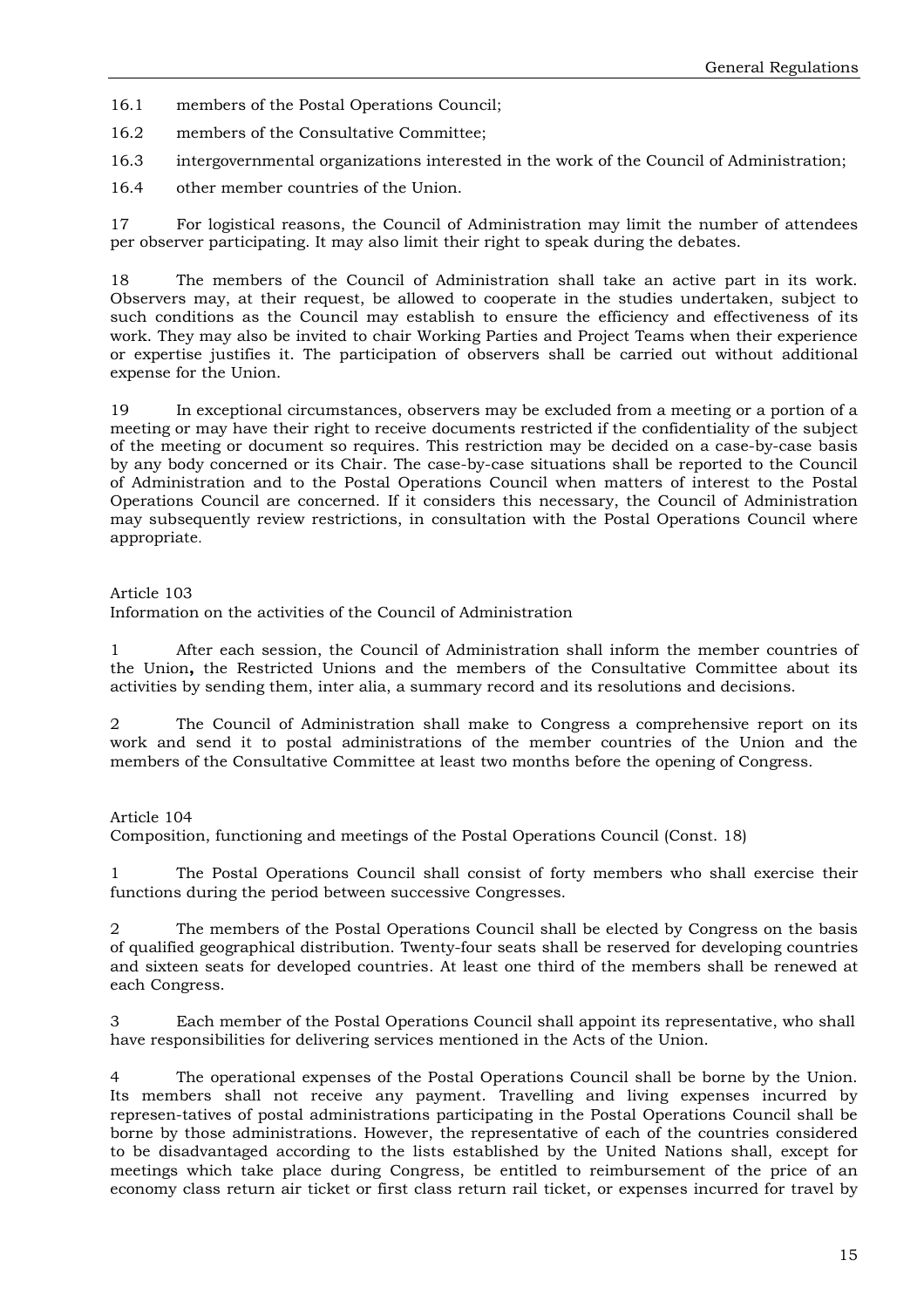16.1 members of the Postal Operations Council;

16.2 members of the Consultative Committee;

16.3 intergovernmental organizations interested in the work of the Council of Administration;

16.4 other member countries of the Union.

17 For logistical reasons, the Council of Administration may limit the number of attendees per observer participating. It may also limit their right to speak during the debates.

18 The members of the Council of Administration shall take an active part in its work. Observers may, at their request, be allowed to cooperate in the studies undertaken, subject to such conditions as the Council may establish to ensure the efficiency and effectiveness of its work. They may also be invited to chair Working Parties and Project Teams when their experience or expertise justifies it. The participation of observers shall be carried out without additional expense for the Union.

19 In exceptional circumstances, observers may be excluded from a meeting or a portion of a meeting or may have their right to receive documents restricted if the confidentiality of the subject of the meeting or document so requires. This restriction may be decided on a case-by-case basis by any body concerned or its Chair. The case-by-case situations shall be reported to the Council of Administration and to the Postal Operations Council when matters of interest to the Postal Operations Council are concerned. If it considers this necessary, the Council of Administration may subsequently review restrictions, in consultation with the Postal Operations Council where appropriate.

#### Article 103

Information on the activities of the Council of Administration

After each session, the Council of Administration shall inform the member countries of the Union**,** the Restricted Unions and the members of the Consultative Committee about its activities by sending them, inter alia, a summary record and its resolutions and decisions.

2 The Council of Administration shall make to Congress a comprehensive report on its work and send it to postal administrations of the member countries of the Union and the members of the Consultative Committee at least two months before the opening of Congress.

#### Article 104

Composition, functioning and meetings of the Postal Operations Council (Const. 18)

1 The Postal Operations Council shall consist of forty members who shall exercise their functions during the period between successive Congresses.

2 The members of the Postal Operations Council shall be elected by Congress on the basis of qualified geographical distribution. Twenty-four seats shall be reserved for developing countries and sixteen seats for developed countries. At least one third of the members shall be renewed at each Congress.

3 Each member of the Postal Operations Council shall appoint its representative, who shall have responsibilities for delivering services mentioned in the Acts of the Union.

4 The operational expenses of the Postal Operations Council shall be borne by the Union. Its members shall not receive any payment. Travelling and living expenses incurred by represen-tatives of postal administrations participating in the Postal Operations Council shall be borne by those administrations. However, the representative of each of the countries considered to be disadvantaged according to the lists established by the United Nations shall, except for meetings which take place during Congress, be entitled to reimbursement of the price of an economy class return air ticket or first class return rail ticket, or expenses incurred for travel by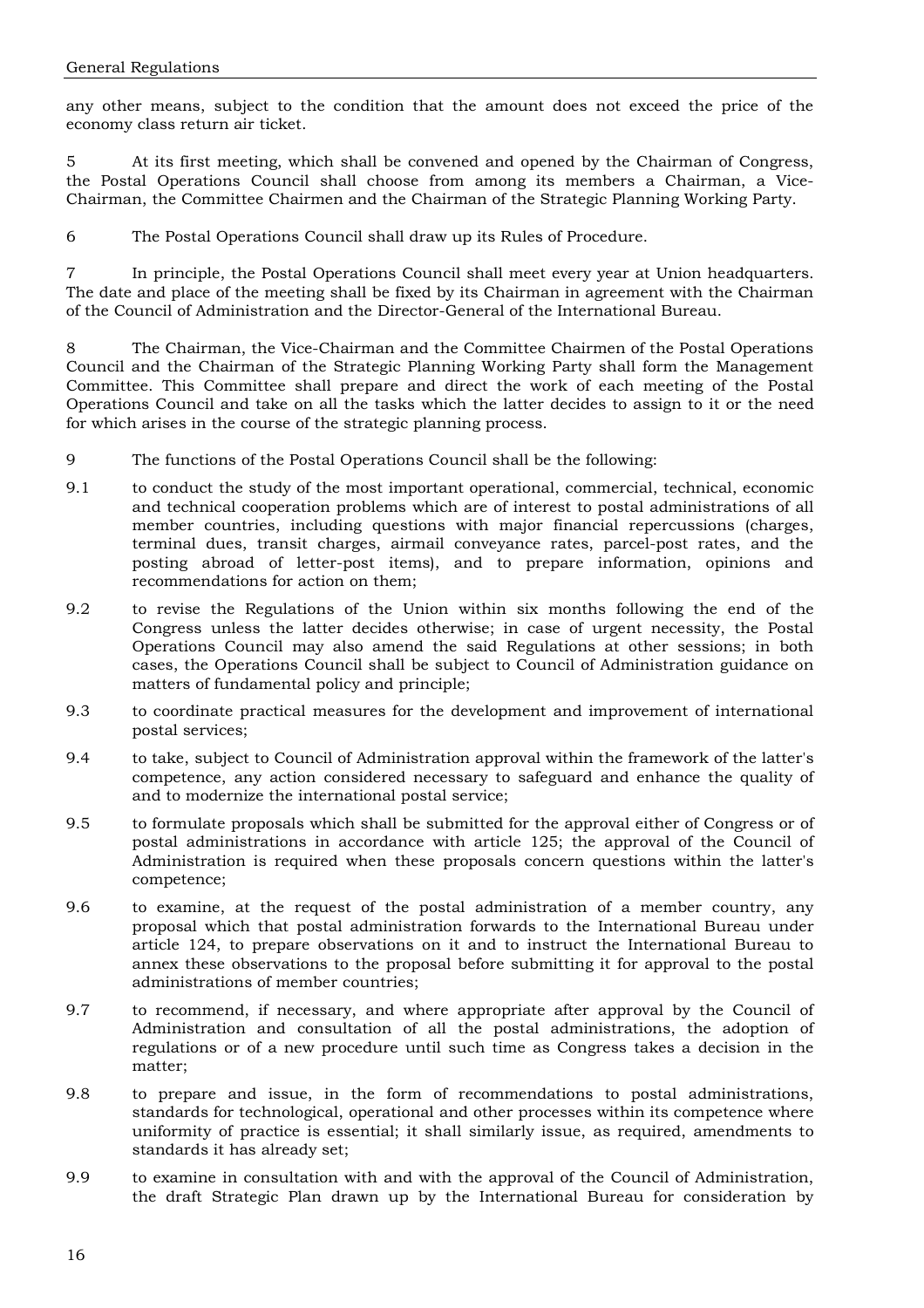any other means, subject to the condition that the amount does not exceed the price of the economy class return air ticket.

5 At its first meeting, which shall be convened and opened by the Chairman of Congress, the Postal Operations Council shall choose from among its members a Chairman, a Vice-Chairman, the Committee Chairmen and the Chairman of the Strategic Planning Working Party.

6 The Postal Operations Council shall draw up its Rules of Procedure.

7 In principle, the Postal Operations Council shall meet every year at Union headquarters. The date and place of the meeting shall be fixed by its Chairman in agreement with the Chairman of the Council of Administration and the Director-General of the International Bureau.

8 The Chairman, the Vice-Chairman and the Committee Chairmen of the Postal Operations Council and the Chairman of the Strategic Planning Working Party shall form the Management Committee. This Committee shall prepare and direct the work of each meeting of the Postal Operations Council and take on all the tasks which the latter decides to assign to it or the need for which arises in the course of the strategic planning process.

- 9 The functions of the Postal Operations Council shall be the following:
- 9.1 to conduct the study of the most important operational, commercial, technical, economic and technical cooperation problems which are of interest to postal administrations of all member countries, including questions with major financial repercussions (charges, terminal dues, transit charges, airmail conveyance rates, parcel-post rates, and the posting abroad of letter-post items), and to prepare information, opinions and recommendations for action on them;
- 9.2 to revise the Regulations of the Union within six months following the end of the Congress unless the latter decides otherwise; in case of urgent necessity, the Postal Operations Council may also amend the said Regulations at other sessions; in both cases, the Operations Council shall be subject to Council of Administration guidance on matters of fundamental policy and principle;
- 9.3 to coordinate practical measures for the development and improvement of international postal services;
- 9.4 to take, subject to Council of Administration approval within the framework of the latter's competence, any action considered necessary to safeguard and enhance the quality of and to modernize the international postal service;
- 9.5 to formulate proposals which shall be submitted for the approval either of Congress or of postal administrations in accordance with article 125; the approval of the Council of Administration is required when these proposals concern questions within the latter's competence;
- 9.6 to examine, at the request of the postal administration of a member country, any proposal which that postal administration forwards to the International Bureau under article 124, to prepare observations on it and to instruct the International Bureau to annex these observations to the proposal before submitting it for approval to the postal administrations of member countries;
- 9.7 to recommend, if necessary, and where appropriate after approval by the Council of Administration and consultation of all the postal administrations, the adoption of regulations or of a new procedure until such time as Congress takes a decision in the matter;
- 9.8 to prepare and issue, in the form of recommendations to postal administrations, standards for technological, operational and other processes within its competence where uniformity of practice is essential; it shall similarly issue, as required, amendments to standards it has already set;
- 9.9 to examine in consultation with and with the approval of the Council of Administration, the draft Strategic Plan drawn up by the International Bureau for consideration by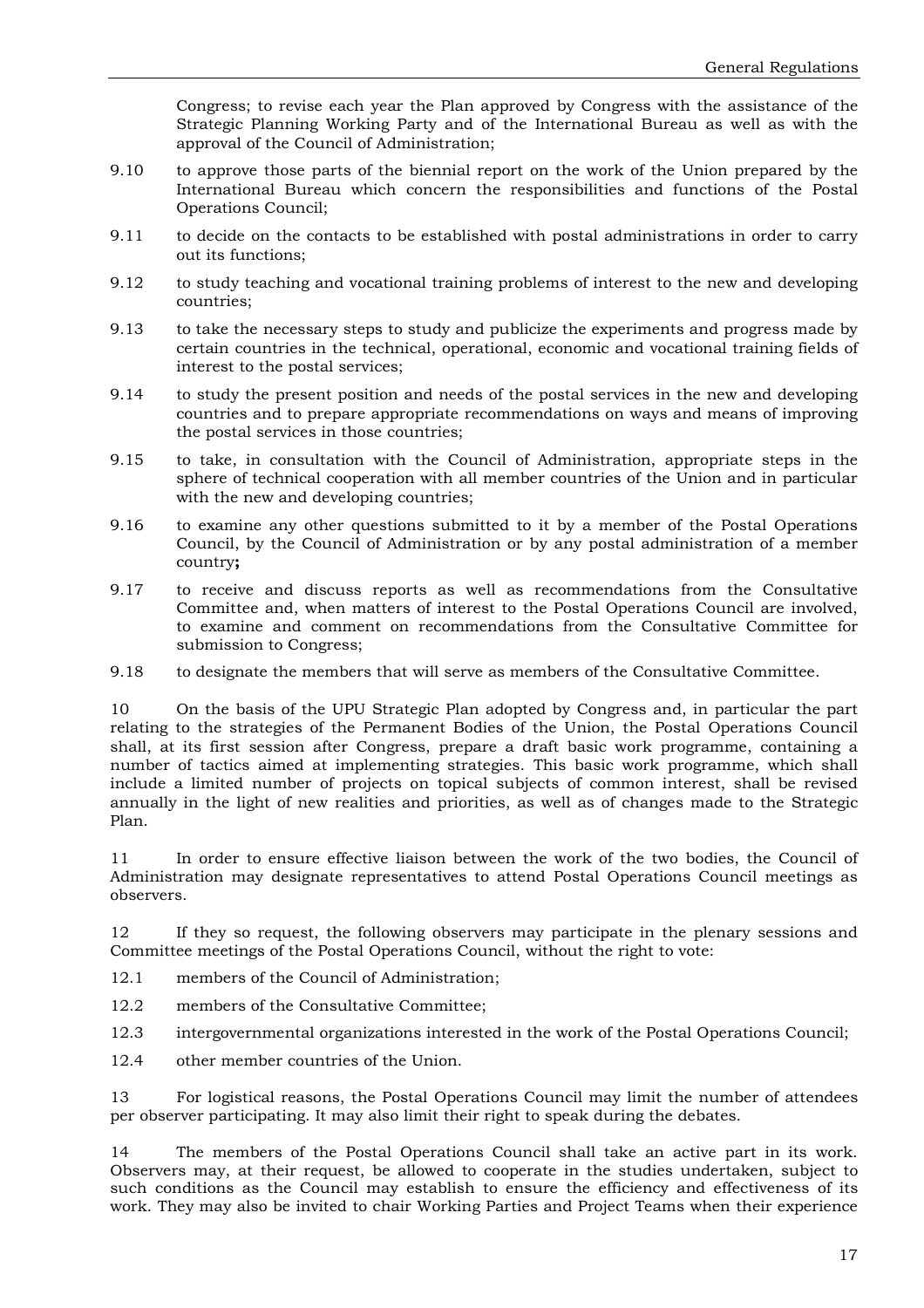Congress; to revise each year the Plan approved by Congress with the assistance of the Strategic Planning Working Party and of the International Bureau as well as with the approval of the Council of Administration;

- 9.10 to approve those parts of the biennial report on the work of the Union prepared by the International Bureau which concern the responsibilities and functions of the Postal Operations Council;
- 9.11 to decide on the contacts to be established with postal administrations in order to carry out its functions;
- 9.12 to study teaching and vocational training problems of interest to the new and developing countries;
- 9.13 to take the necessary steps to study and publicize the experiments and progress made by certain countries in the technical, operational, economic and vocational training fields of interest to the postal services;
- 9.14 to study the present position and needs of the postal services in the new and developing countries and to prepare appropriate recommendations on ways and means of improving the postal services in those countries;
- 9.15 to take, in consultation with the Council of Administration, appropriate steps in the sphere of technical cooperation with all member countries of the Union and in particular with the new and developing countries:
- 9.16 to examine any other questions submitted to it by a member of the Postal Operations Council, by the Council of Administration or by any postal administration of a member country**;**
- 9.17 to receive and discuss reports as well as recommendations from the Consultative Committee and, when matters of interest to the Postal Operations Council are involved, to examine and comment on recommendations from the Consultative Committee for submission to Congress;
- 9.18 to designate the members that will serve as members of the Consultative Committee.

10 On the basis of the UPU Strategic Plan adopted by Congress and, in particular the part relating to the strategies of the Permanent Bodies of the Union, the Postal Operations Council shall, at its first session after Congress, prepare a draft basic work programme, containing a number of tactics aimed at implementing strategies. This basic work programme, which shall include a limited number of projects on topical subjects of common interest, shall be revised annually in the light of new realities and priorities, as well as of changes made to the Strategic Plan.

11 In order to ensure effective liaison between the work of the two bodies, the Council of Administration may designate representatives to attend Postal Operations Council meetings as observers.

12 If they so request, the following observers may participate in the plenary sessions and Committee meetings of the Postal Operations Council, without the right to vote:

- 12.1 members of the Council of Administration;
- 12.2 members of the Consultative Committee;
- 12.3 intergovernmental organizations interested in the work of the Postal Operations Council;
- 12.4 other member countries of the Union.

13 For logistical reasons, the Postal Operations Council may limit the number of attendees per observer participating. It may also limit their right to speak during the debates.

14 The members of the Postal Operations Council shall take an active part in its work. Observers may, at their request, be allowed to cooperate in the studies undertaken, subject to such conditions as the Council may establish to ensure the efficiency and effectiveness of its work. They may also be invited to chair Working Parties and Project Teams when their experience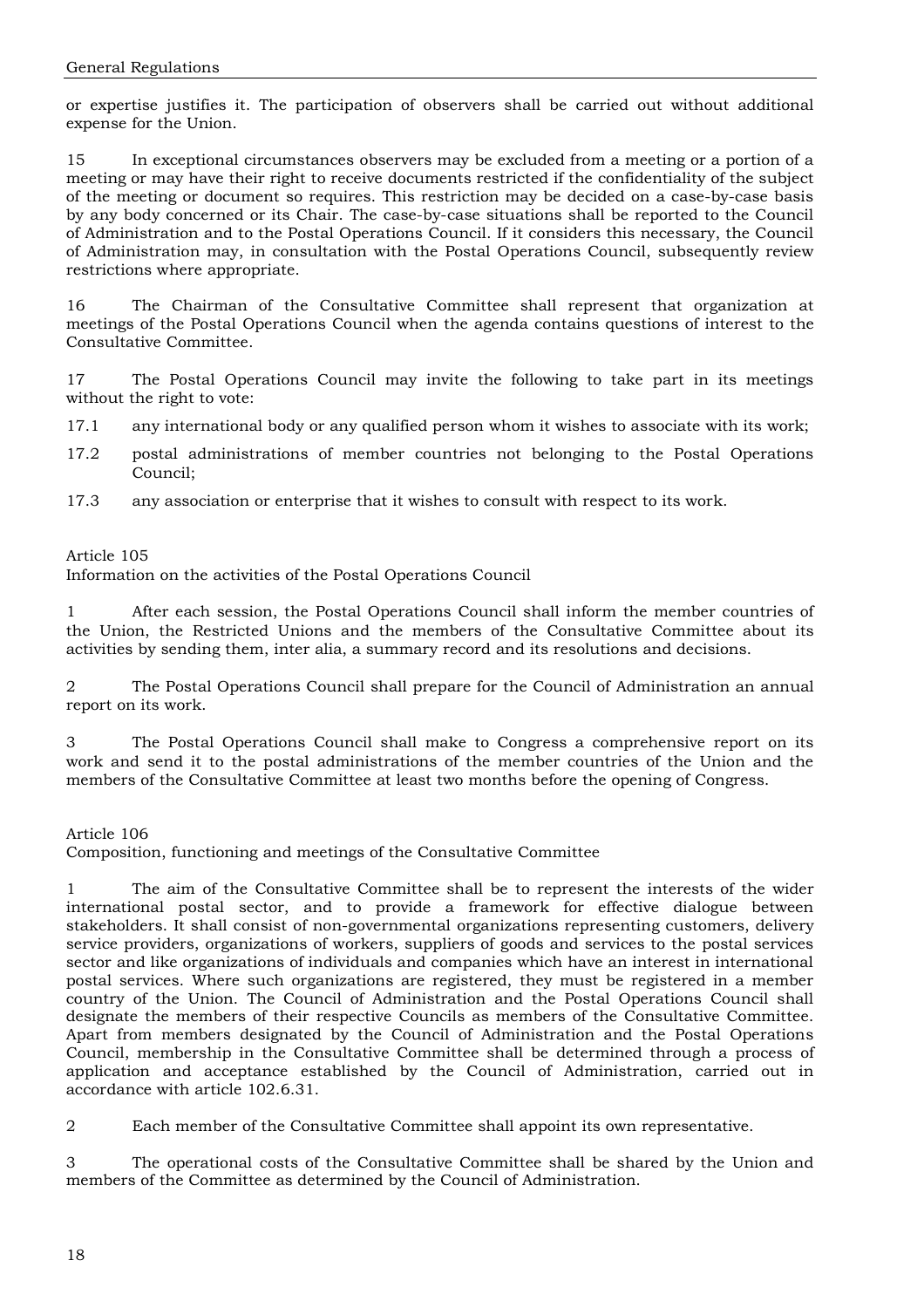or expertise justifies it. The participation of observers shall be carried out without additional expense for the Union.

15 In exceptional circumstances observers may be excluded from a meeting or a portion of a meeting or may have their right to receive documents restricted if the confidentiality of the subject of the meeting or document so requires. This restriction may be decided on a case-by-case basis by any body concerned or its Chair. The case-by-case situations shall be reported to the Council of Administration and to the Postal Operations Council. If it considers this necessary, the Council of Administration may, in consultation with the Postal Operations Council, subsequently review restrictions where appropriate.

16 The Chairman of the Consultative Committee shall represent that organization at meetings of the Postal Operations Council when the agenda contains questions of interest to the Consultative Committee.

17 The Postal Operations Council may invite the following to take part in its meetings without the right to vote:

17.1 any international body or any qualified person whom it wishes to associate with its work;

- 17.2 postal administrations of member countries not belonging to the Postal Operations Council;
- 17.3 any association or enterprise that it wishes to consult with respect to its work.

Article 105

Information on the activities of the Postal Operations Council

1 After each session, the Postal Operations Council shall inform the member countries of the Union, the Restricted Unions and the members of the Consultative Committee about its activities by sending them, inter alia, a summary record and its resolutions and decisions.

2 The Postal Operations Council shall prepare for the Council of Administration an annual report on its work.

3 The Postal Operations Council shall make to Congress a comprehensive report on its work and send it to the postal administrations of the member countries of the Union and the members of the Consultative Committee at least two months before the opening of Congress.

Article 106

Composition, functioning and meetings of the Consultative Committee

1 The aim of the Consultative Committee shall be to represent the interests of the wider international postal sector, and to provide a framework for effective dialogue between stakeholders. It shall consist of non-governmental organizations representing customers, delivery service providers, organizations of workers, suppliers of goods and services to the postal services sector and like organizations of individuals and companies which have an interest in international postal services. Where such organizations are registered, they must be registered in a member country of the Union. The Council of Administration and the Postal Operations Council shall designate the members of their respective Councils as members of the Consultative Committee. Apart from members designated by the Council of Administration and the Postal Operations Council, membership in the Consultative Committee shall be determined through a process of application and acceptance established by the Council of Administration, carried out in accordance with article 102.6.31.

2 Each member of the Consultative Committee shall appoint its own representative.

3 The operational costs of the Consultative Committee shall be shared by the Union and members of the Committee as determined by the Council of Administration.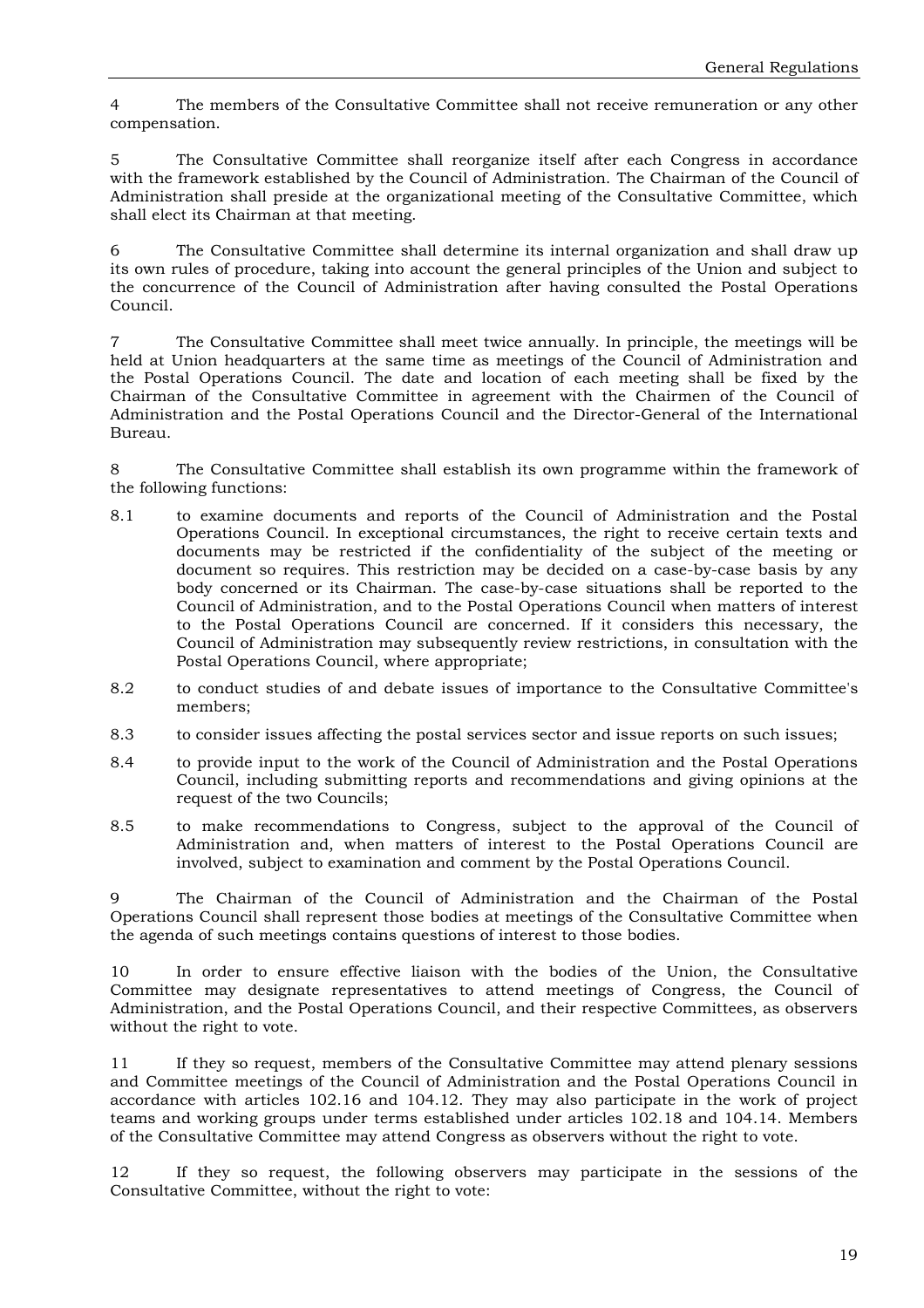4 The members of the Consultative Committee shall not receive remuneration or any other compensation.

5 The Consultative Committee shall reorganize itself after each Congress in accordance with the framework established by the Council of Administration. The Chairman of the Council of Administration shall preside at the organizational meeting of the Consultative Committee, which shall elect its Chairman at that meeting.

6 The Consultative Committee shall determine its internal organization and shall draw up its own rules of procedure, taking into account the general principles of the Union and subject to the concurrence of the Council of Administration after having consulted the Postal Operations Council.

7 The Consultative Committee shall meet twice annually. In principle, the meetings will be held at Union headquarters at the same time as meetings of the Council of Administration and the Postal Operations Council. The date and location of each meeting shall be fixed by the Chairman of the Consultative Committee in agreement with the Chairmen of the Council of Administration and the Postal Operations Council and the Director-General of the International Bureau.

8 The Consultative Committee shall establish its own programme within the framework of the following functions:

- 8.1 to examine documents and reports of the Council of Administration and the Postal Operations Council. In exceptional circumstances, the right to receive certain texts and documents may be restricted if the confidentiality of the subject of the meeting or document so requires. This restriction may be decided on a case-by-case basis by any body concerned or its Chairman. The case-by-case situations shall be reported to the Council of Administration, and to the Postal Operations Council when matters of interest to the Postal Operations Council are concerned. If it considers this necessary, the Council of Administration may subsequently review restrictions, in consultation with the Postal Operations Council, where appropriate;
- 8.2 to conduct studies of and debate issues of importance to the Consultative Committee's members;
- 8.3 to consider issues affecting the postal services sector and issue reports on such issues;
- 8.4 to provide input to the work of the Council of Administration and the Postal Operations Council, including submitting reports and recommendations and giving opinions at the request of the two Councils;
- 8.5 to make recommendations to Congress, subject to the approval of the Council of Administration and, when matters of interest to the Postal Operations Council are involved, subject to examination and comment by the Postal Operations Council.

9 The Chairman of the Council of Administration and the Chairman of the Postal Operations Council shall represent those bodies at meetings of the Consultative Committee when the agenda of such meetings contains questions of interest to those bodies.

10 In order to ensure effective liaison with the bodies of the Union, the Consultative Committee may designate representatives to attend meetings of Congress, the Council of Administration, and the Postal Operations Council, and their respective Committees, as observers without the right to vote.

11 If they so request, members of the Consultative Committee may attend plenary sessions and Committee meetings of the Council of Administration and the Postal Operations Council in accordance with articles 102.16 and 104.12. They may also participate in the work of project teams and working groups under terms established under articles 102.18 and 104.14. Members of the Consultative Committee may attend Congress as observers without the right to vote.

12 If they so request, the following observers may participate in the sessions of the Consultative Committee, without the right to vote: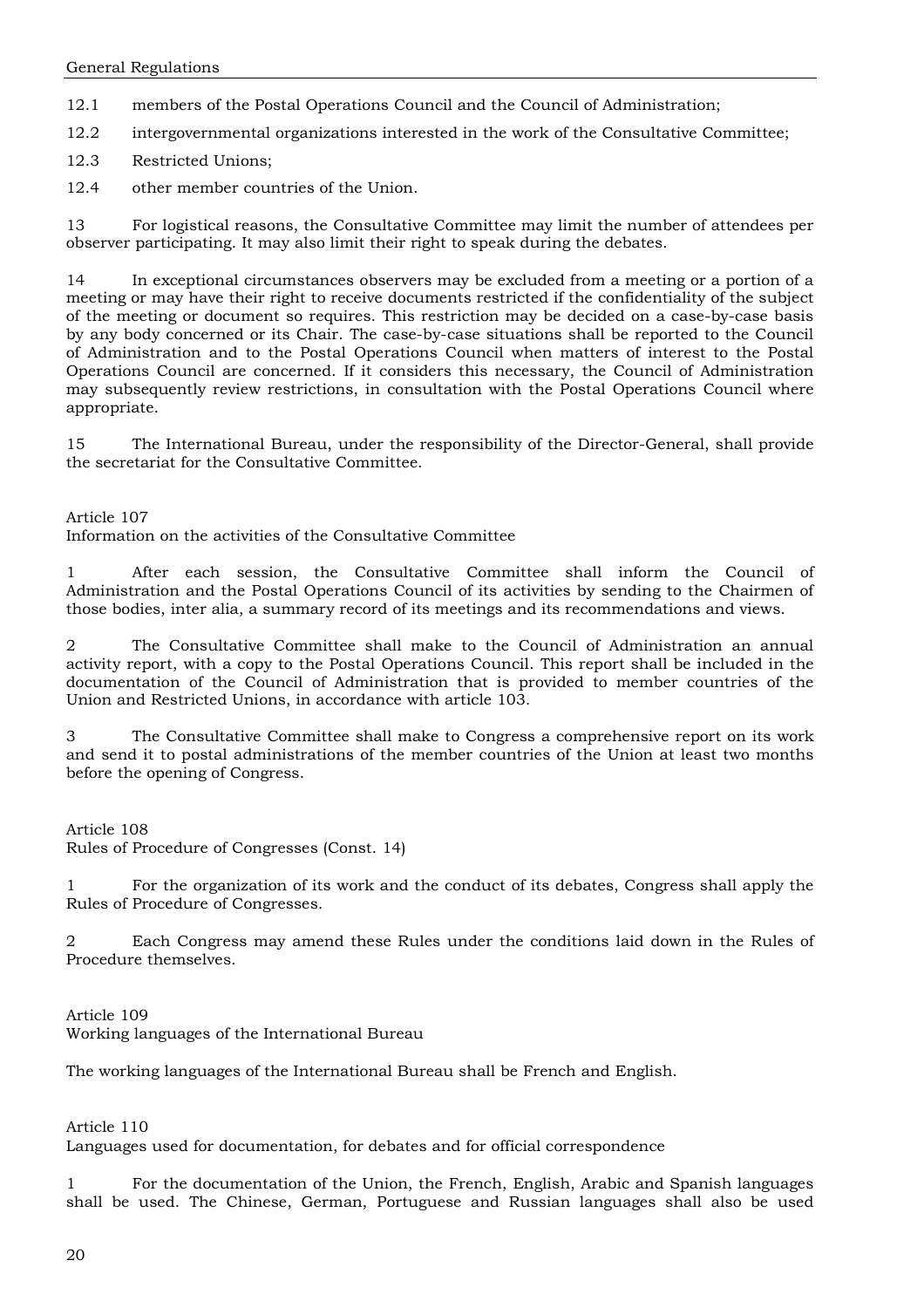12.1 members of the Postal Operations Council and the Council of Administration;

12.2 intergovernmental organizations interested in the work of the Consultative Committee;

12.3 Restricted Unions;

12.4 other member countries of the Union.

13 For logistical reasons, the Consultative Committee may limit the number of attendees per observer participating. It may also limit their right to speak during the debates.

14 In exceptional circumstances observers may be excluded from a meeting or a portion of a meeting or may have their right to receive documents restricted if the confidentiality of the subject of the meeting or document so requires. This restriction may be decided on a case-by-case basis by any body concerned or its Chair. The case-by-case situations shall be reported to the Council of Administration and to the Postal Operations Council when matters of interest to the Postal Operations Council are concerned. If it considers this necessary, the Council of Administration may subsequently review restrictions, in consultation with the Postal Operations Council where appropriate.

15 The International Bureau, under the responsibility of the Director-General, shall provide the secretariat for the Consultative Committee.

Article 107

Information on the activities of the Consultative Committee

1 After each session, the Consultative Committee shall inform the Council of Administration and the Postal Operations Council of its activities by sending to the Chairmen of those bodies, inter alia, a summary record of its meetings and its recommendations and views.

2 The Consultative Committee shall make to the Council of Administration an annual activity report, with a copy to the Postal Operations Council. This report shall be included in the documentation of the Council of Administration that is provided to member countries of the Union and Restricted Unions, in accordance with article 103.

3 The Consultative Committee shall make to Congress a comprehensive report on its work and send it to postal administrations of the member countries of the Union at least two months before the opening of Congress.

Article 108

Rules of Procedure of Congresses (Const. 14)

1 For the organization of its work and the conduct of its debates, Congress shall apply the Rules of Procedure of Congresses.

2 Each Congress may amend these Rules under the conditions laid down in the Rules of Procedure themselves.

Article 109 Working languages of the International Bureau

The working languages of the International Bureau shall be French and English.

Article 110

Languages used for documentation, for debates and for official correspondence

1 For the documentation of the Union, the French, English, Arabic and Spanish languages shall be used. The Chinese, German, Portuguese and Russian languages shall also be used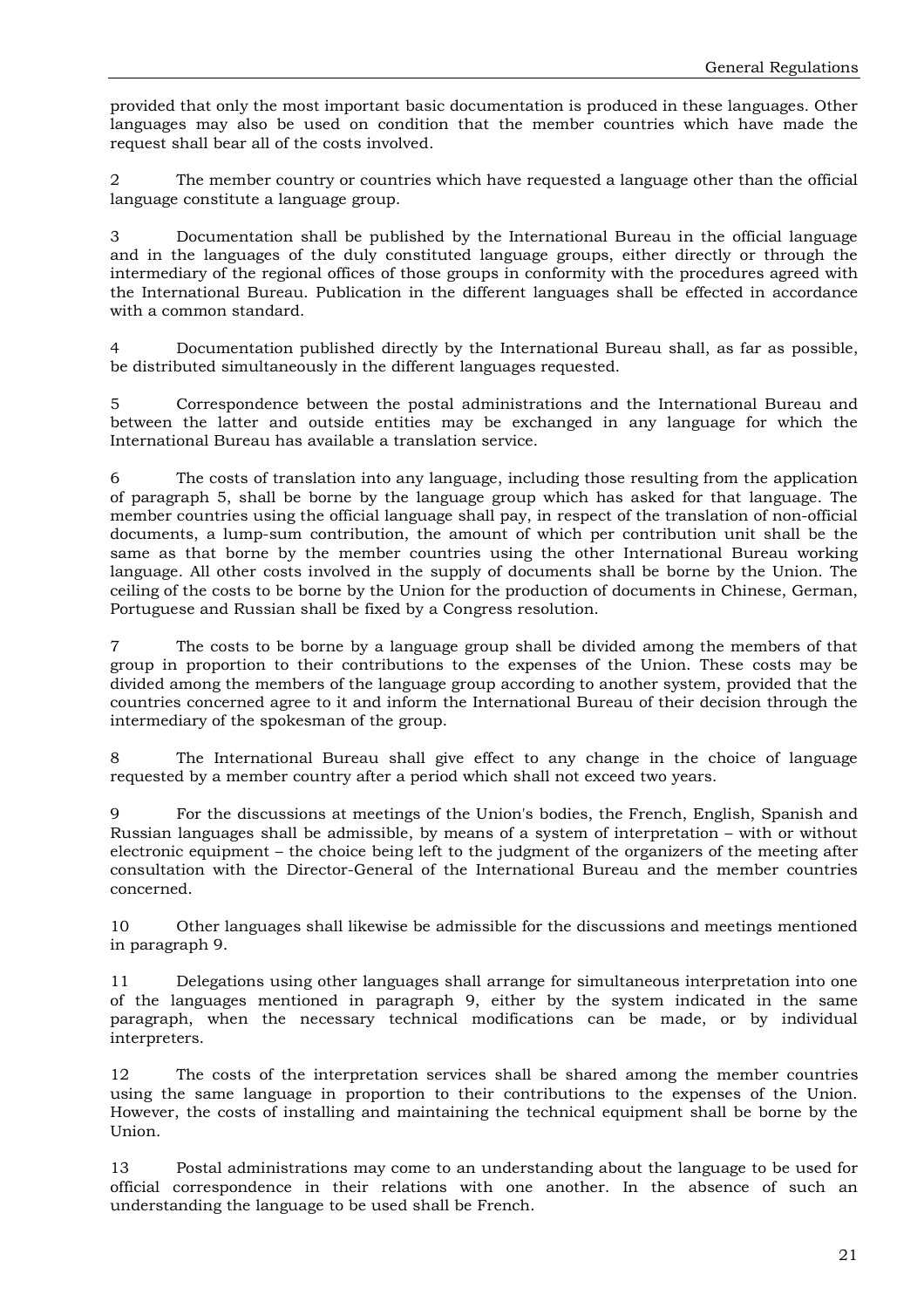provided that only the most important basic documentation is produced in these languages. Other languages may also be used on condition that the member countries which have made the request shall bear all of the costs involved.

2 The member country or countries which have requested a language other than the official language constitute a language group.

3 Documentation shall be published by the International Bureau in the official language and in the languages of the duly constituted language groups, either directly or through the intermediary of the regional offices of those groups in conformity with the procedures agreed with the International Bureau. Publication in the different languages shall be effected in accordance with a common standard.

4 Documentation published directly by the International Bureau shall, as far as possible, be distributed simultaneously in the different languages requested.

5 Correspondence between the postal administrations and the International Bureau and between the latter and outside entities may be exchanged in any language for which the International Bureau has available a translation service.

6 The costs of translation into any language, including those resulting from the application of paragraph 5, shall be borne by the language group which has asked for that language. The member countries using the official language shall pay, in respect of the translation of non-official documents, a lump-sum contribution, the amount of which per contribution unit shall be the same as that borne by the member countries using the other International Bureau working language. All other costs involved in the supply of documents shall be borne by the Union. The ceiling of the costs to be borne by the Union for the production of documents in Chinese, German, Portuguese and Russian shall be fixed by a Congress resolution.

7 The costs to be borne by a language group shall be divided among the members of that group in proportion to their contributions to the expenses of the Union. These costs may be divided among the members of the language group according to another system, provided that the countries concerned agree to it and inform the International Bureau of their decision through the intermediary of the spokesman of the group.

The International Bureau shall give effect to any change in the choice of language requested by a member country after a period which shall not exceed two years.

9 For the discussions at meetings of the Union's bodies, the French, English, Spanish and Russian languages shall be admissible, by means of a system of interpretation – with or without electronic equipment – the choice being left to the judgment of the organizers of the meeting after consultation with the Director-General of the International Bureau and the member countries concerned.

10 Other languages shall likewise be admissible for the discussions and meetings mentioned in paragraph 9.

11 Delegations using other languages shall arrange for simultaneous interpretation into one of the languages mentioned in paragraph 9, either by the system indicated in the same paragraph, when the necessary technical modifications can be made, or by individual interpreters.

12 The costs of the interpretation services shall be shared among the member countries using the same language in proportion to their contributions to the expenses of the Union. However, the costs of installing and maintaining the technical equipment shall be borne by the Union.

13 Postal administrations may come to an understanding about the language to be used for official correspondence in their relations with one another. In the absence of such an understanding the language to be used shall be French.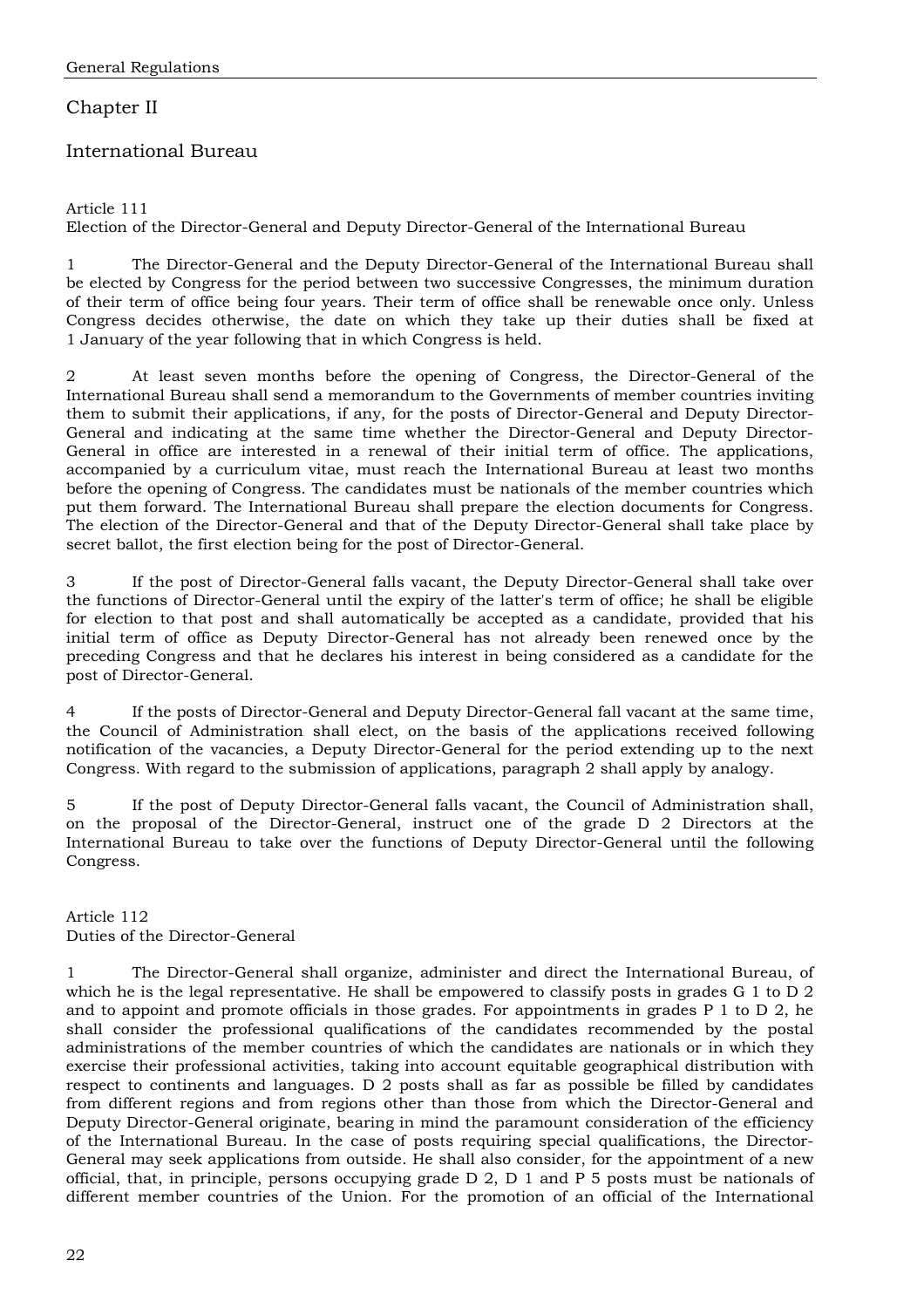# Chapter II

# International Bureau

### Article 111

Election of the Director-General and Deputy Director-General of the International Bureau

1 The Director-General and the Deputy Director-General of the International Bureau shall be elected by Congress for the period between two successive Congresses, the minimum duration of their term of office being four years. Their term of office shall be renewable once only. Unless Congress decides otherwise, the date on which they take up their duties shall be fixed at 1 January of the year following that in which Congress is held.

2 At least seven months before the opening of Congress, the Director-General of the International Bureau shall send a memorandum to the Governments of member countries inviting them to submit their applications, if any, for the posts of Director-General and Deputy Director-General and indicating at the same time whether the Director-General and Deputy Director-General in office are interested in a renewal of their initial term of office. The applications, accompanied by a curriculum vitae, must reach the International Bureau at least two months before the opening of Congress. The candidates must be nationals of the member countries which put them forward. The International Bureau shall prepare the election documents for Congress. The election of the Director-General and that of the Deputy Director-General shall take place by secret ballot, the first election being for the post of Director-General.

3 If the post of Director-General falls vacant, the Deputy Director-General shall take over the functions of Director-General until the expiry of the latter's term of office; he shall be eligible for election to that post and shall automatically be accepted as a candidate, provided that his initial term of office as Deputy Director-General has not already been renewed once by the preceding Congress and that he declares his interest in being considered as a candidate for the post of Director-General.

4 If the posts of Director-General and Deputy Director-General fall vacant at the same time, the Council of Administration shall elect, on the basis of the applications received following notification of the vacancies, a Deputy Director-General for the period extending up to the next Congress. With regard to the submission of applications, paragraph 2 shall apply by analogy.

5 If the post of Deputy Director-General falls vacant, the Council of Administration shall, on the proposal of the Director-General, instruct one of the grade D 2 Directors at the International Bureau to take over the functions of Deputy Director-General until the following Congress.

### Article 112 Duties of the Director-General

1 The Director-General shall organize, administer and direct the International Bureau, of which he is the legal representative. He shall be empowered to classify posts in grades G 1 to D 2 and to appoint and promote officials in those grades. For appointments in grades P 1 to D 2, he shall consider the professional qualifications of the candidates recommended by the postal administrations of the member countries of which the candidates are nationals or in which they exercise their professional activities, taking into account equitable geographical distribution with respect to continents and languages. D 2 posts shall as far as possible be filled by candidates from different regions and from regions other than those from which the Director-General and Deputy Director-General originate, bearing in mind the paramount consideration of the efficiency of the International Bureau. In the case of posts requiring special qualifications, the Director-General may seek applications from outside. He shall also consider, for the appointment of a new official, that, in principle, persons occupying grade D 2, D 1 and P 5 posts must be nationals of different member countries of the Union. For the promotion of an official of the International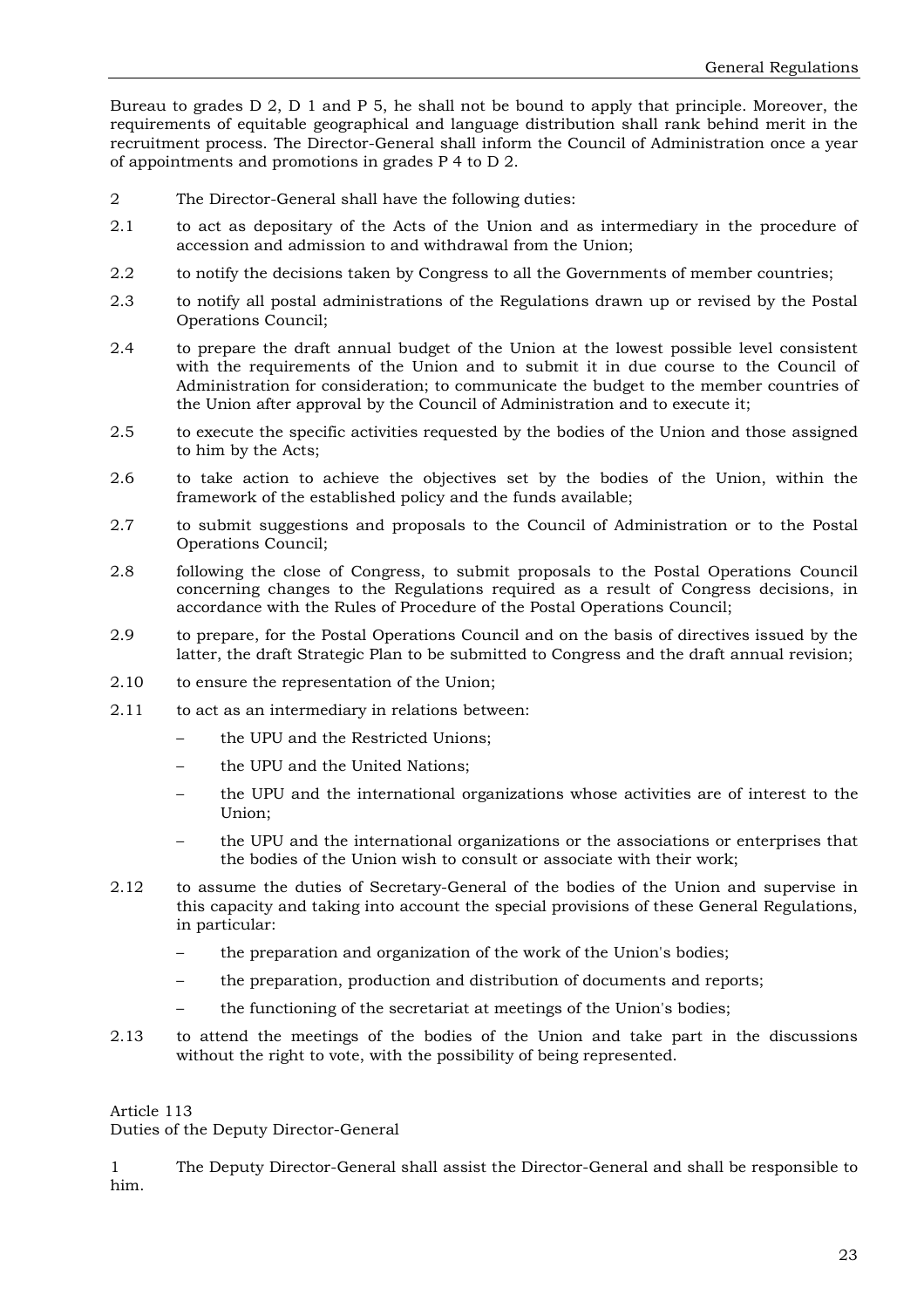Bureau to grades D 2, D 1 and P 5, he shall not be bound to apply that principle. Moreover, the requirements of equitable geographical and language distribution shall rank behind merit in the recruitment process. The Director-General shall inform the Council of Administration once a year of appointments and promotions in grades P 4 to D 2.

- 2 The Director-General shall have the following duties:
- 2.1 to act as depositary of the Acts of the Union and as intermediary in the procedure of accession and admission to and withdrawal from the Union;
- 2.2 to notify the decisions taken by Congress to all the Governments of member countries;
- 2.3 to notify all postal administrations of the Regulations drawn up or revised by the Postal Operations Council;
- 2.4 to prepare the draft annual budget of the Union at the lowest possible level consistent with the requirements of the Union and to submit it in due course to the Council of Administration for consideration; to communicate the budget to the member countries of the Union after approval by the Council of Administration and to execute it;
- 2.5 to execute the specific activities requested by the bodies of the Union and those assigned to him by the Acts;
- 2.6 to take action to achieve the objectives set by the bodies of the Union, within the framework of the established policy and the funds available;
- 2.7 to submit suggestions and proposals to the Council of Administration or to the Postal Operations Council;
- 2.8 following the close of Congress, to submit proposals to the Postal Operations Council concerning changes to the Regulations required as a result of Congress decisions, in accordance with the Rules of Procedure of the Postal Operations Council;
- 2.9 to prepare, for the Postal Operations Council and on the basis of directives issued by the latter, the draft Strategic Plan to be submitted to Congress and the draft annual revision;
- 2.10 to ensure the representation of the Union;
- 2.11 to act as an intermediary in relations between:
	- the UPU and the Restricted Unions:
	- the UPU and the United Nations;
	- the UPU and the international organizations whose activities are of interest to the Union;
	- the UPU and the international organizations or the associations or enterprises that the bodies of the Union wish to consult or associate with their work;
- 2.12 to assume the duties of Secretary-General of the bodies of the Union and supervise in this capacity and taking into account the special provisions of these General Regulations, in particular:
	- the preparation and organization of the work of the Union's bodies;
	- the preparation, production and distribution of documents and reports;
	- the functioning of the secretariat at meetings of the Union's bodies;
- 2.13 to attend the meetings of the bodies of the Union and take part in the discussions without the right to vote, with the possibility of being represented.

#### Article 113

Duties of the Deputy Director-General

1 The Deputy Director-General shall assist the Director-General and shall be responsible to him.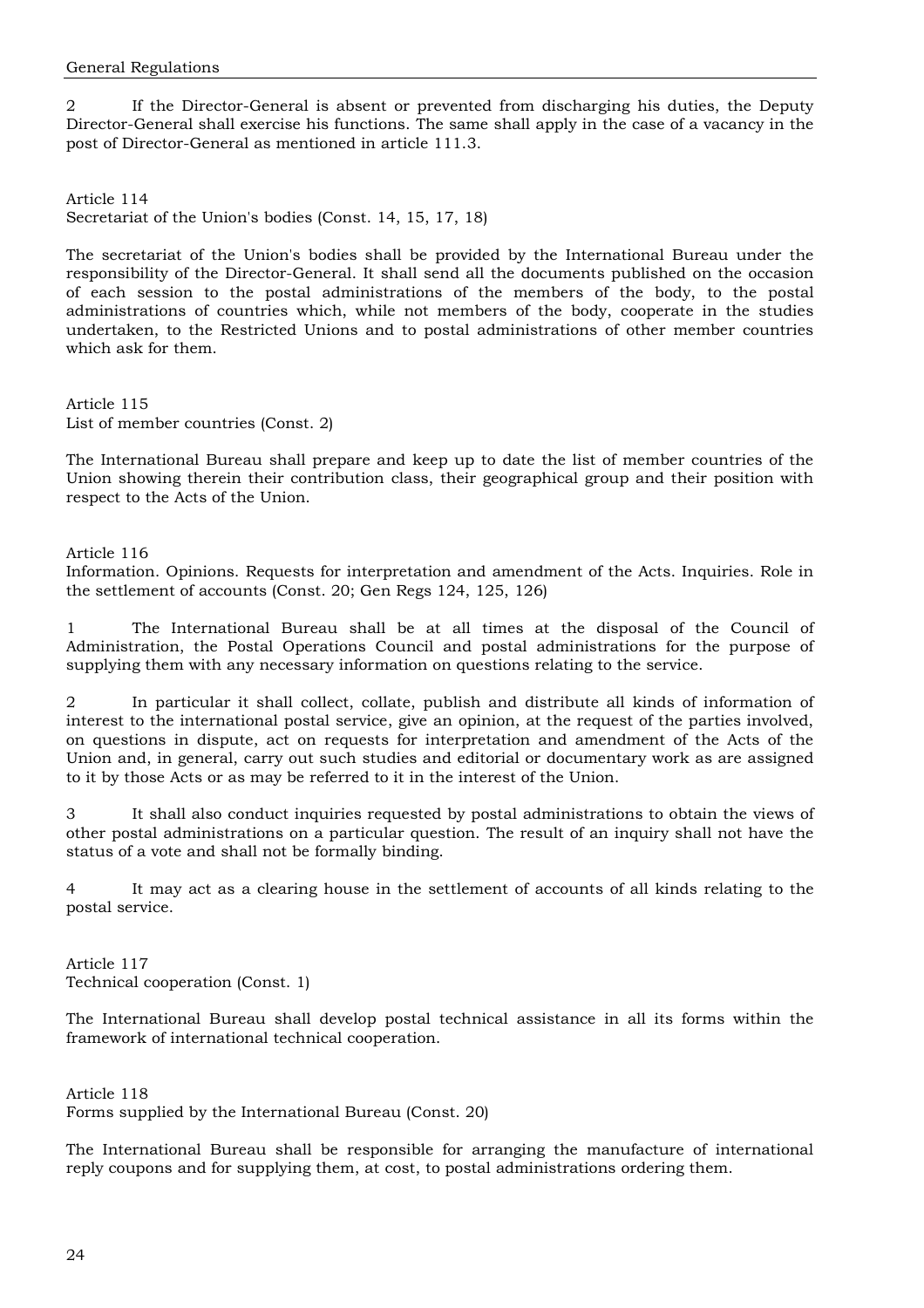2 If the Director-General is absent or prevented from discharging his duties, the Deputy Director-General shall exercise his functions. The same shall apply in the case of a vacancy in the post of Director-General as mentioned in article 111.3.

Article 114 Secretariat of the Union's bodies (Const. 14, 15, 17, 18)

The secretariat of the Union's bodies shall be provided by the International Bureau under the responsibility of the Director-General. It shall send all the documents published on the occasion of each session to the postal administrations of the members of the body, to the postal administrations of countries which, while not members of the body, cooperate in the studies undertaken, to the Restricted Unions and to postal administrations of other member countries which ask for them.

Article 115 List of member countries (Const. 2)

The International Bureau shall prepare and keep up to date the list of member countries of the Union showing therein their contribution class, their geographical group and their position with respect to the Acts of the Union.

#### Article 116

Information. Opinions. Requests for interpretation and amendment of the Acts. Inquiries. Role in the settlement of accounts (Const. 20; Gen Regs 124, 125, 126)

1 The International Bureau shall be at all times at the disposal of the Council of Administration, the Postal Operations Council and postal administrations for the purpose of supplying them with any necessary information on questions relating to the service.

2 In particular it shall collect, collate, publish and distribute all kinds of information of interest to the international postal service, give an opinion, at the request of the parties involved, on questions in dispute, act on requests for interpretation and amendment of the Acts of the Union and, in general, carry out such studies and editorial or documentary work as are assigned to it by those Acts or as may be referred to it in the interest of the Union.

3 It shall also conduct inquiries requested by postal administrations to obtain the views of other postal administrations on a particular question. The result of an inquiry shall not have the status of a vote and shall not be formally binding.

4 It may act as a clearing house in the settlement of accounts of all kinds relating to the postal service.

Article 117 Technical cooperation (Const. 1)

The International Bureau shall develop postal technical assistance in all its forms within the framework of international technical cooperation.

Article 118 Forms supplied by the International Bureau (Const. 20)

The International Bureau shall be responsible for arranging the manufacture of international reply coupons and for supplying them, at cost, to postal administrations ordering them.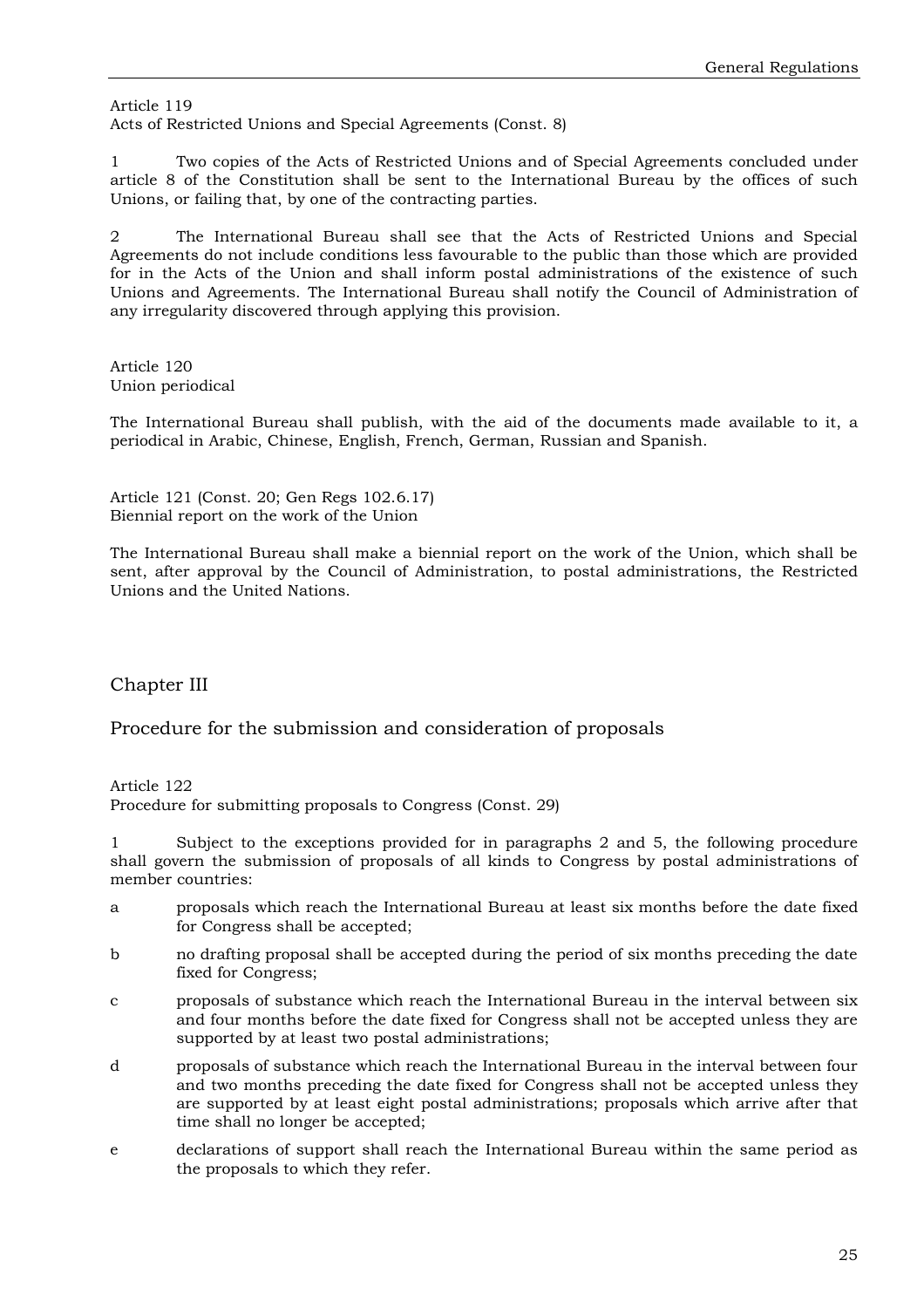Article 119 Acts of Restricted Unions and Special Agreements (Const. 8)

1 Two copies of the Acts of Restricted Unions and of Special Agreements concluded under article 8 of the Constitution shall be sent to the International Bureau by the offices of such Unions, or failing that, by one of the contracting parties.

2 The International Bureau shall see that the Acts of Restricted Unions and Special Agreements do not include conditions less favourable to the public than those which are provided for in the Acts of the Union and shall inform postal administrations of the existence of such Unions and Agreements. The International Bureau shall notify the Council of Administration of any irregularity discovered through applying this provision.

Article 120 Union periodical

The International Bureau shall publish, with the aid of the documents made available to it, a periodical in Arabic, Chinese, English, French, German, Russian and Spanish.

Article 121 (Const. 20; Gen Regs 102.6.17) Biennial report on the work of the Union

The International Bureau shall make a biennial report on the work of the Union, which shall be sent, after approval by the Council of Administration, to postal administrations, the Restricted Unions and the United Nations.

Chapter III

Procedure for the submission and consideration of proposals

Article 122

Procedure for submitting proposals to Congress (Const. 29)

1 Subject to the exceptions provided for in paragraphs 2 and 5, the following procedure shall govern the submission of proposals of all kinds to Congress by postal administrations of member countries:

- a proposals which reach the International Bureau at least six months before the date fixed for Congress shall be accepted;
- b no drafting proposal shall be accepted during the period of six months preceding the date fixed for Congress;
- c proposals of substance which reach the International Bureau in the interval between six and four months before the date fixed for Congress shall not be accepted unless they are supported by at least two postal administrations;
- d proposals of substance which reach the International Bureau in the interval between four and two months preceding the date fixed for Congress shall not be accepted unless they are supported by at least eight postal administrations; proposals which arrive after that time shall no longer be accepted;
- e declarations of support shall reach the International Bureau within the same period as the proposals to which they refer.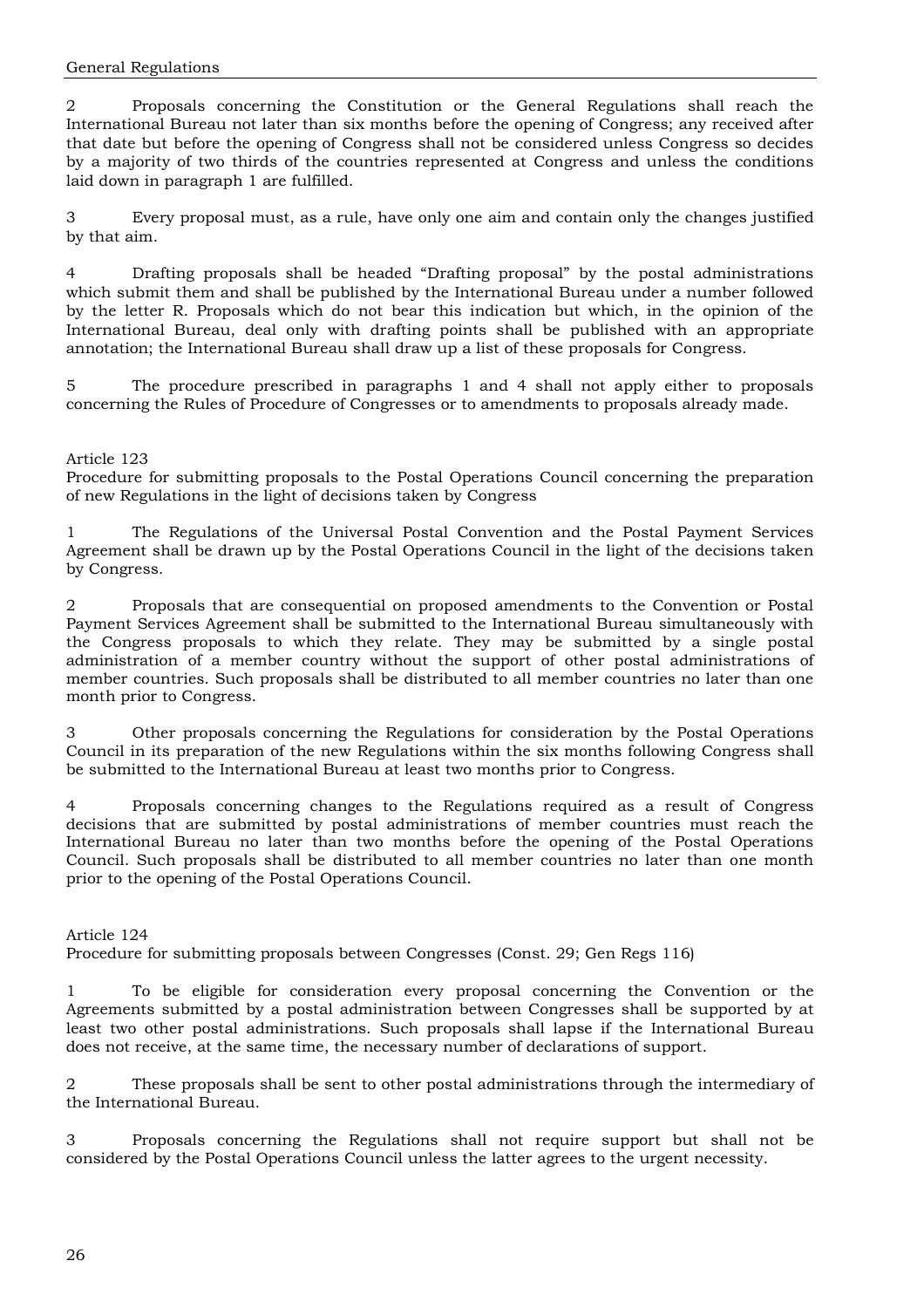2 Proposals concerning the Constitution or the General Regulations shall reach the International Bureau not later than six months before the opening of Congress; any received after that date but before the opening of Congress shall not be considered unless Congress so decides by a majority of two thirds of the countries represented at Congress and unless the conditions laid down in paragraph 1 are fulfilled.

3 Every proposal must, as a rule, have only one aim and contain only the changes justified by that aim.

4 Drafting proposals shall be headed "Drafting proposal" by the postal administrations which submit them and shall be published by the International Bureau under a number followed by the letter R. Proposals which do not bear this indication but which, in the opinion of the International Bureau, deal only with drafting points shall be published with an appropriate annotation; the International Bureau shall draw up a list of these proposals for Congress.

5 The procedure prescribed in paragraphs 1 and 4 shall not apply either to proposals concerning the Rules of Procedure of Congresses or to amendments to proposals already made.

#### Article 123

Procedure for submitting proposals to the Postal Operations Council concerning the preparation of new Regulations in the light of decisions taken by Congress

1 The Regulations of the Universal Postal Convention and the Postal Payment Services Agreement shall be drawn up by the Postal Operations Council in the light of the decisions taken by Congress.

2 Proposals that are consequential on proposed amendments to the Convention or Postal Payment Services Agreement shall be submitted to the International Bureau simultaneously with the Congress proposals to which they relate. They may be submitted by a single postal administration of a member country without the support of other postal administrations of member countries. Such proposals shall be distributed to all member countries no later than one month prior to Congress.

3 Other proposals concerning the Regulations for consideration by the Postal Operations Council in its preparation of the new Regulations within the six months following Congress shall be submitted to the International Bureau at least two months prior to Congress.

4 Proposals concerning changes to the Regulations required as a result of Congress decisions that are submitted by postal administrations of member countries must reach the International Bureau no later than two months before the opening of the Postal Operations Council. Such proposals shall be distributed to all member countries no later than one month prior to the opening of the Postal Operations Council.

#### Article 124

Procedure for submitting proposals between Congresses (Const. 29; Gen Regs 116)

1 To be eligible for consideration every proposal concerning the Convention or the Agreements submitted by a postal administration between Congresses shall be supported by at least two other postal administrations. Such proposals shall lapse if the International Bureau does not receive, at the same time, the necessary number of declarations of support.

2 These proposals shall be sent to other postal administrations through the intermediary of the International Bureau.

3 Proposals concerning the Regulations shall not require support but shall not be considered by the Postal Operations Council unless the latter agrees to the urgent necessity.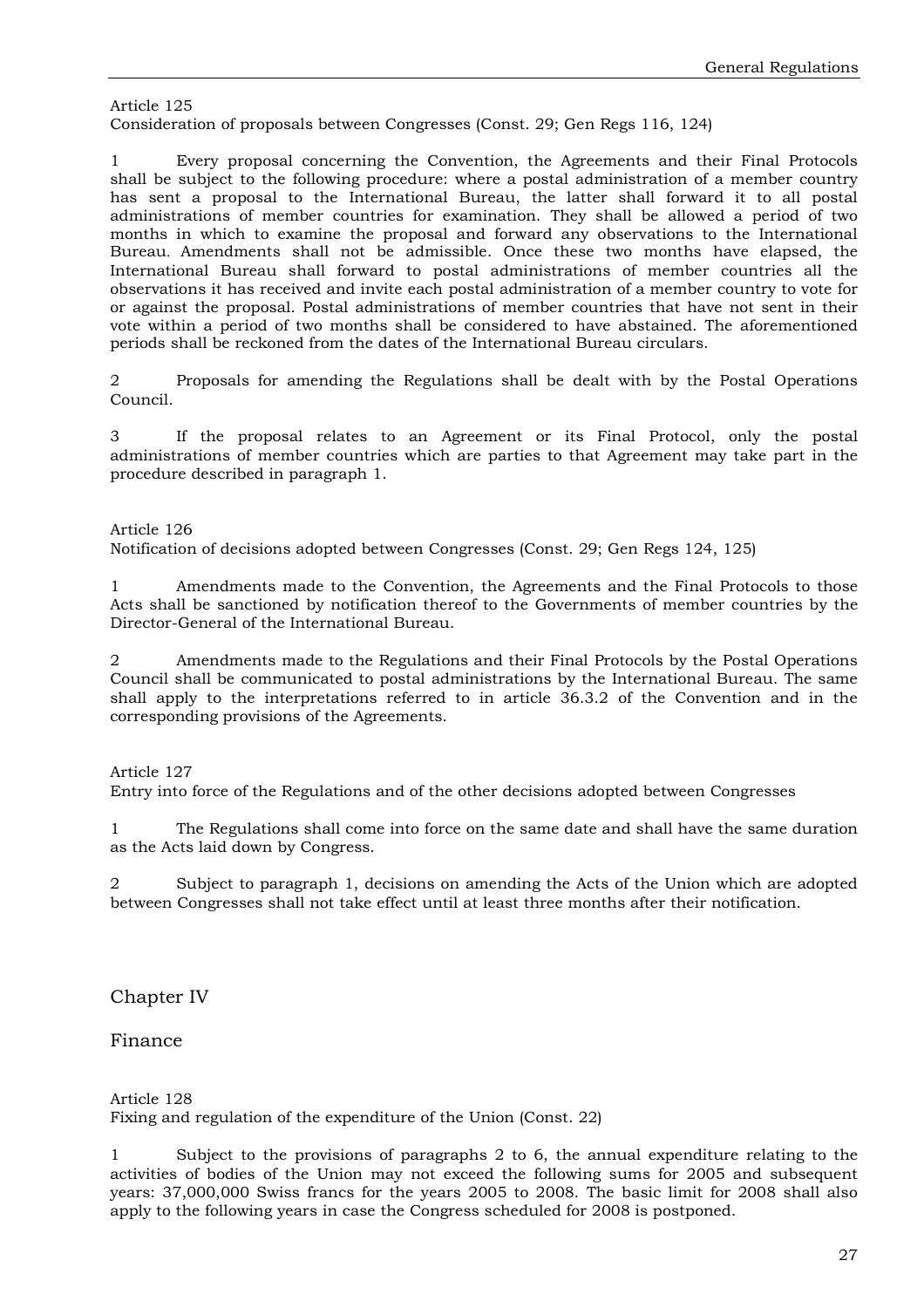Article 125 Consideration of proposals between Congresses (Const. 29; Gen Regs 116, 124)

1 Every proposal concerning the Convention, the Agreements and their Final Protocols shall be subject to the following procedure: where a postal administration of a member country has sent a proposal to the International Bureau, the latter shall forward it to all postal administrations of member countries for examination. They shall be allowed a period of two months in which to examine the proposal and forward any observations to the International Bureau. Amendments shall not be admissible. Once these two months have elapsed, the International Bureau shall forward to postal administrations of member countries all the observations it has received and invite each postal administration of a member country to vote for or against the proposal. Postal administrations of member countries that have not sent in their vote within a period of two months shall be considered to have abstained. The aforementioned periods shall be reckoned from the dates of the International Bureau circulars.

2 Proposals for amending the Regulations shall be dealt with by the Postal Operations Council.

3 If the proposal relates to an Agreement or its Final Protocol, only the postal administrations of member countries which are parties to that Agreement may take part in the procedure described in paragraph 1.

#### Article 126

Notification of decisions adopted between Congresses (Const. 29; Gen Regs 124, 125)

1 Amendments made to the Convention, the Agreements and the Final Protocols to those Acts shall be sanctioned by notification thereof to the Governments of member countries by the Director-General of the International Bureau.

2 Amendments made to the Regulations and their Final Protocols by the Postal Operations Council shall be communicated to postal administrations by the International Bureau. The same shall apply to the interpretations referred to in article 36.3.2 of the Convention and in the corresponding provisions of the Agreements.

#### Article 127

Entry into force of the Regulations and of the other decisions adopted between Congresses

1 The Regulations shall come into force on the same date and shall have the same duration as the Acts laid down by Congress.

2 Subject to paragraph 1, decisions on amending the Acts of the Union which are adopted between Congresses shall not take effect until at least three months after their notification.

### Chapter IV

#### Finance

Article 128 Fixing and regulation of the expenditure of the Union (Const. 22)

1 Subject to the provisions of paragraphs 2 to 6, the annual expenditure relating to the activities of bodies of the Union may not exceed the following sums for 2005 and subsequent years: 37,000,000 Swiss francs for the years 2005 to 2008. The basic limit for 2008 shall also apply to the following years in case the Congress scheduled for 2008 is postponed.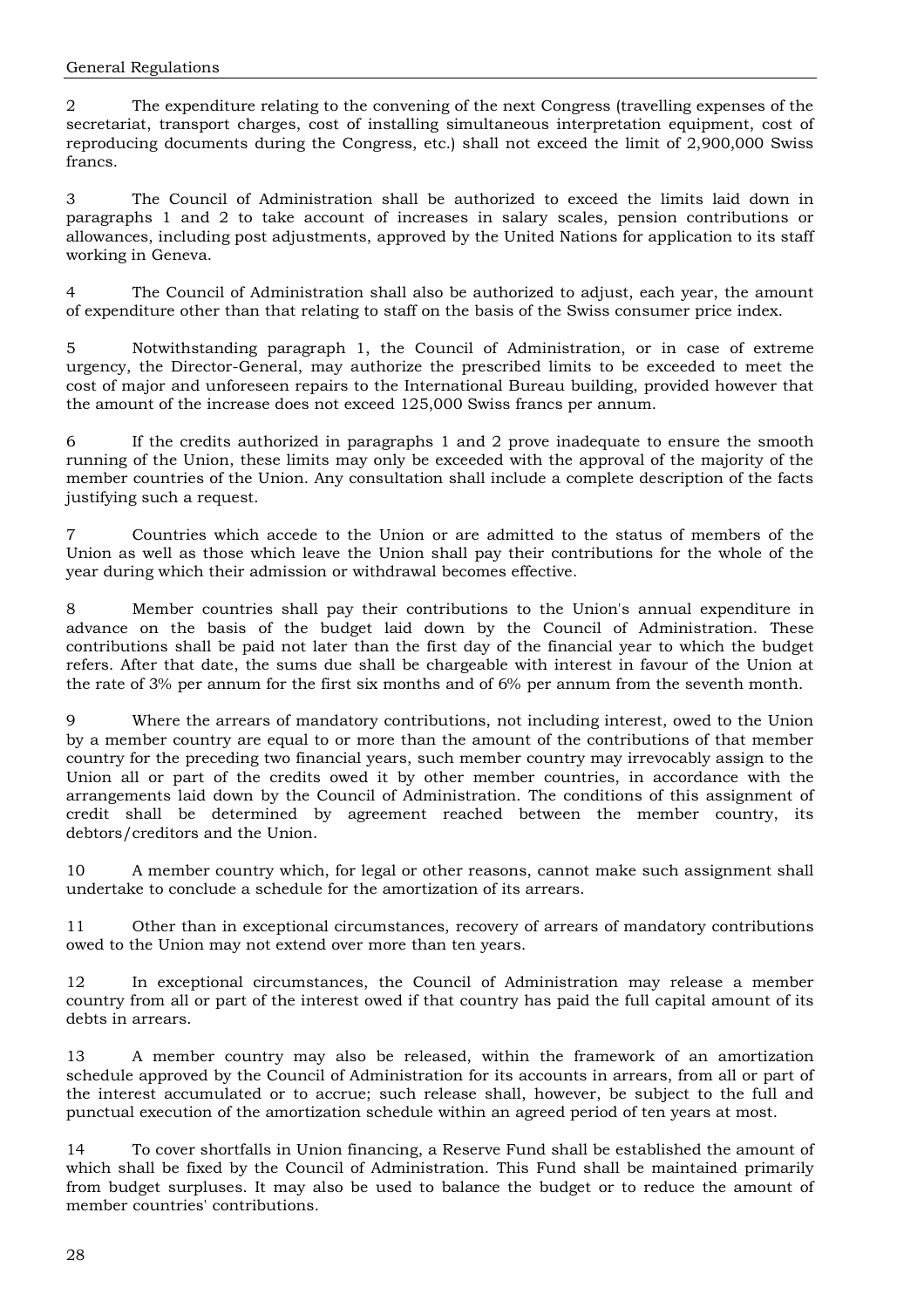2 The expenditure relating to the convening of the next Congress (travelling expenses of the secretariat, transport charges, cost of installing simultaneous interpretation equipment, cost of reproducing documents during the Congress, etc.) shall not exceed the limit of 2,900,000 Swiss francs.

3 The Council of Administration shall be authorized to exceed the limits laid down in paragraphs 1 and 2 to take account of increases in salary scales, pension contributions or allowances, including post adjustments, approved by the United Nations for application to its staff working in Geneva.

4 The Council of Administration shall also be authorized to adjust, each year, the amount of expenditure other than that relating to staff on the basis of the Swiss consumer price index.

5 Notwithstanding paragraph 1, the Council of Administration, or in case of extreme urgency, the Director-General, may authorize the prescribed limits to be exceeded to meet the cost of major and unforeseen repairs to the International Bureau building, provided however that the amount of the increase does not exceed 125,000 Swiss francs per annum.

6 If the credits authorized in paragraphs 1 and 2 prove inadequate to ensure the smooth running of the Union, these limits may only be exceeded with the approval of the majority of the member countries of the Union. Any consultation shall include a complete description of the facts justifying such a request.

7 Countries which accede to the Union or are admitted to the status of members of the Union as well as those which leave the Union shall pay their contributions for the whole of the year during which their admission or withdrawal becomes effective.

8 Member countries shall pay their contributions to the Union's annual expenditure in advance on the basis of the budget laid down by the Council of Administration. These contributions shall be paid not later than the first day of the financial year to which the budget refers. After that date, the sums due shall be chargeable with interest in favour of the Union at the rate of 3% per annum for the first six months and of 6% per annum from the seventh month.

9 Where the arrears of mandatory contributions, not including interest, owed to the Union by a member country are equal to or more than the amount of the contributions of that member country for the preceding two financial years, such member country may irrevocably assign to the Union all or part of the credits owed it by other member countries, in accordance with the arrangements laid down by the Council of Administration. The conditions of this assignment of credit shall be determined by agreement reached between the member country, its debtors/creditors and the Union.

10 A member country which, for legal or other reasons, cannot make such assignment shall undertake to conclude a schedule for the amortization of its arrears.

11 Other than in exceptional circumstances, recovery of arrears of mandatory contributions owed to the Union may not extend over more than ten years.

12 In exceptional circumstances, the Council of Administration may release a member country from all or part of the interest owed if that country has paid the full capital amount of its debts in arrears.

13 A member country may also be released, within the framework of an amortization schedule approved by the Council of Administration for its accounts in arrears, from all or part of the interest accumulated or to accrue; such release shall, however, be subject to the full and punctual execution of the amortization schedule within an agreed period of ten years at most.

14 To cover shortfalls in Union financing, a Reserve Fund shall be established the amount of which shall be fixed by the Council of Administration. This Fund shall be maintained primarily from budget surpluses. It may also be used to balance the budget or to reduce the amount of member countries' contributions.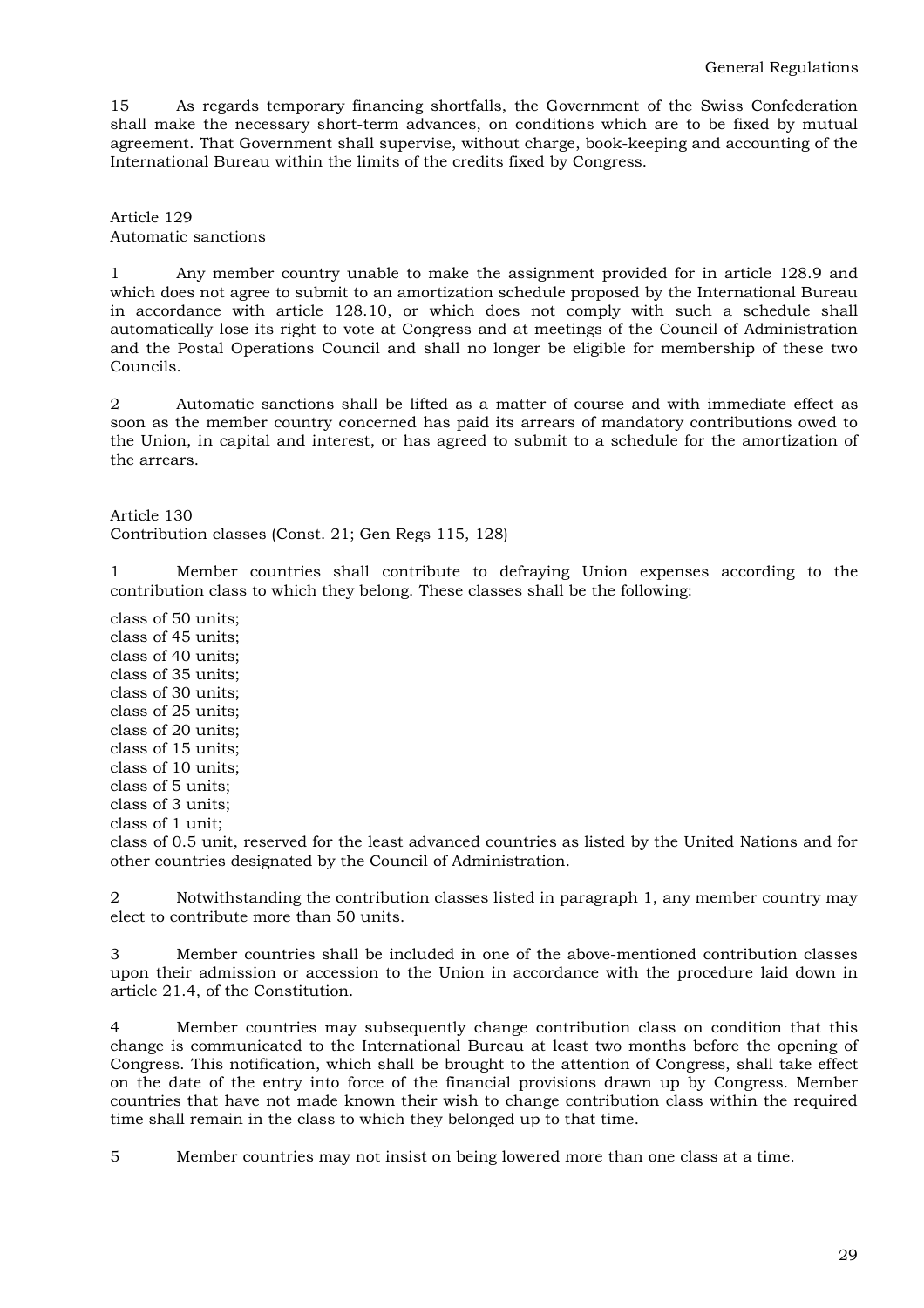15 As regards temporary financing shortfalls, the Government of the Swiss Confederation shall make the necessary short-term advances, on conditions which are to be fixed by mutual agreement. That Government shall supervise, without charge, book-keeping and accounting of the International Bureau within the limits of the credits fixed by Congress.

Article 129 Automatic sanctions

1 Any member country unable to make the assignment provided for in article 128.9 and which does not agree to submit to an amortization schedule proposed by the International Bureau in accordance with article 128.10, or which does not comply with such a schedule shall automatically lose its right to vote at Congress and at meetings of the Council of Administration and the Postal Operations Council and shall no longer be eligible for membership of these two Councils.

2 Automatic sanctions shall be lifted as a matter of course and with immediate effect as soon as the member country concerned has paid its arrears of mandatory contributions owed to the Union, in capital and interest, or has agreed to submit to a schedule for the amortization of the arrears.

Article 130

Contribution classes (Const. 21; Gen Regs 115, 128)

1 Member countries shall contribute to defraying Union expenses according to the contribution class to which they belong. These classes shall be the following:

class of 50 units; class of 45 units; class of 40 units; class of 35 units; class of 30 units; class of 25 units; class of 20 units; class of 15 units; class of 10 units; class of 5 units; class of 3 units; class of 1 unit;

class of 0.5 unit, reserved for the least advanced countries as listed by the United Nations and for other countries designated by the Council of Administration.

Notwithstanding the contribution classes listed in paragraph 1, any member country may elect to contribute more than 50 units.

3 Member countries shall be included in one of the above-mentioned contribution classes upon their admission or accession to the Union in accordance with the procedure laid down in article 21.4, of the Constitution.

4 Member countries may subsequently change contribution class on condition that this change is communicated to the International Bureau at least two months before the opening of Congress. This notification, which shall be brought to the attention of Congress, shall take effect on the date of the entry into force of the financial provisions drawn up by Congress. Member countries that have not made known their wish to change contribution class within the required time shall remain in the class to which they belonged up to that time.

5 Member countries may not insist on being lowered more than one class at a time.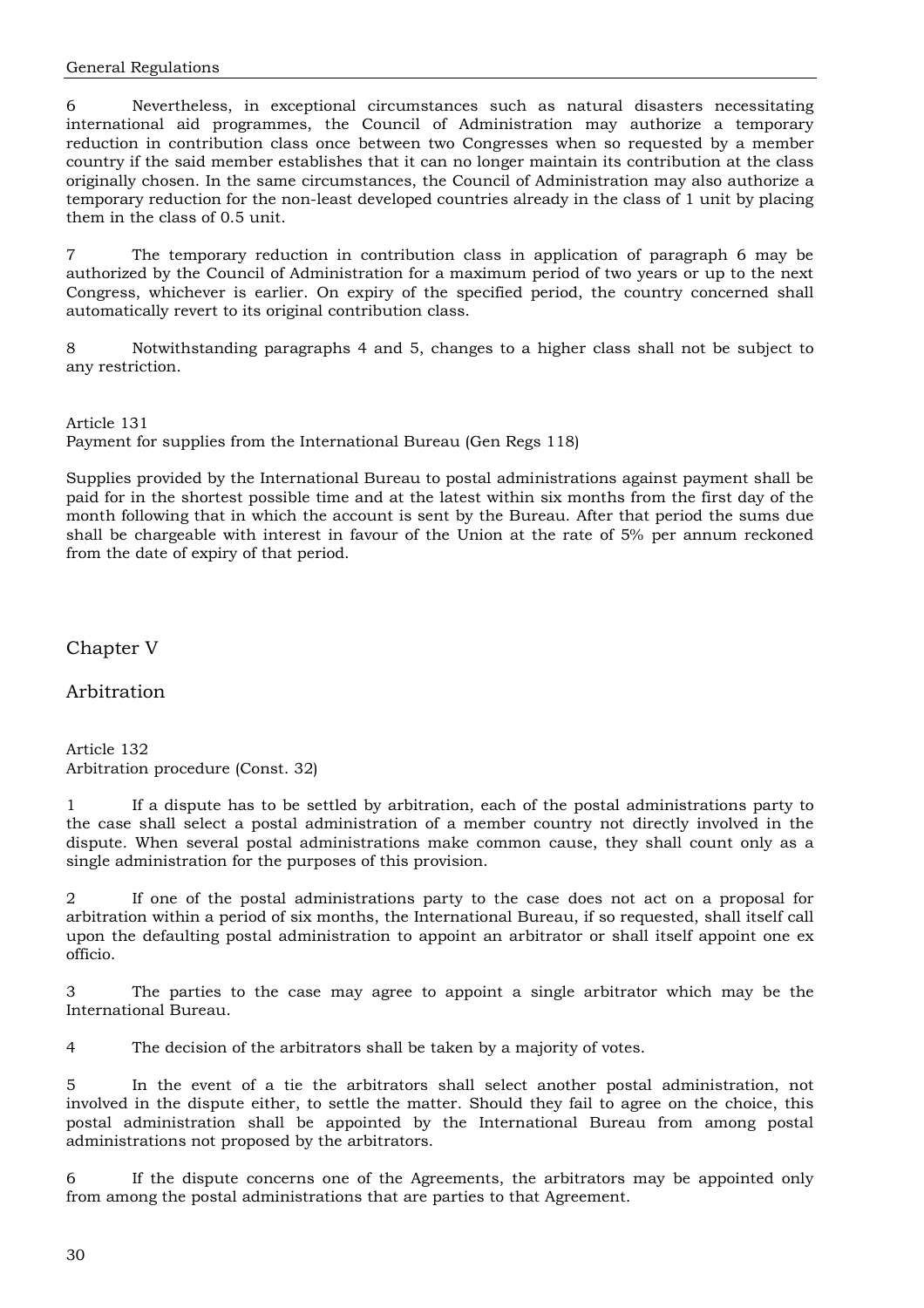6 Nevertheless, in exceptional circumstances such as natural disasters necessitating international aid programmes, the Council of Administration may authorize a temporary reduction in contribution class once between two Congresses when so requested by a member country if the said member establishes that it can no longer maintain its contribution at the class originally chosen. In the same circumstances, the Council of Administration may also authorize a temporary reduction for the non-least developed countries already in the class of 1 unit by placing them in the class of 0.5 unit.

7 The temporary reduction in contribution class in application of paragraph 6 may be authorized by the Council of Administration for a maximum period of two years or up to the next Congress, whichever is earlier. On expiry of the specified period, the country concerned shall automatically revert to its original contribution class.

8 Notwithstanding paragraphs 4 and 5, changes to a higher class shall not be subject to any restriction.

Article 131 Payment for supplies from the International Bureau (Gen Regs 118)

Supplies provided by the International Bureau to postal administrations against payment shall be paid for in the shortest possible time and at the latest within six months from the first day of the month following that in which the account is sent by the Bureau. After that period the sums due shall be chargeable with interest in favour of the Union at the rate of 5% per annum reckoned from the date of expiry of that period.

Chapter V

Arbitration

Article 132 Arbitration procedure (Const. 32)

1 If a dispute has to be settled by arbitration, each of the postal administrations party to the case shall select a postal administration of a member country not directly involved in the dispute. When several postal administrations make common cause, they shall count only as a single administration for the purposes of this provision.

2 If one of the postal administrations party to the case does not act on a proposal for arbitration within a period of six months, the International Bureau, if so requested, shall itself call upon the defaulting postal administration to appoint an arbitrator or shall itself appoint one ex officio.

3 The parties to the case may agree to appoint a single arbitrator which may be the International Bureau.

4 The decision of the arbitrators shall be taken by a majority of votes.

5 In the event of a tie the arbitrators shall select another postal administration, not involved in the dispute either, to settle the matter. Should they fail to agree on the choice, this postal administration shall be appointed by the International Bureau from among postal administrations not proposed by the arbitrators.

6 If the dispute concerns one of the Agreements, the arbitrators may be appointed only from among the postal administrations that are parties to that Agreement.